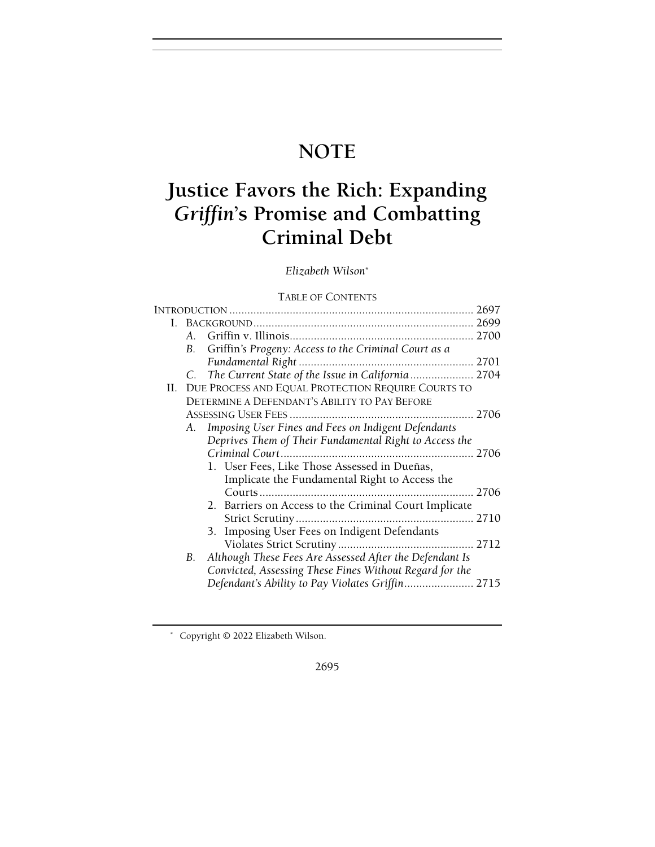## NOTE

# Justice Favors the Rich: Expanding Griffin's Promise and Combatting Criminal Debt

## Elizabeth Wilson\*

## TABLE OF CONTENTS

|    |    |                                                         | 2697 |
|----|----|---------------------------------------------------------|------|
| L. |    |                                                         |      |
|    |    |                                                         |      |
|    | В. | Griffin's Progeny: Access to the Criminal Court as a    |      |
|    |    |                                                         |      |
|    | C. | The Current State of the Issue in California  2704      |      |
|    |    | II. DUE PROCESS AND EQUAL PROTECTION REQUIRE COURTS TO  |      |
|    |    | DETERMINE A DEFENDANT'S ABILITY TO PAY BEFORE           |      |
|    |    |                                                         |      |
|    |    | A. Imposing User Fines and Fees on Indigent Defendants  |      |
|    |    | Deprives Them of Their Fundamental Right to Access the  |      |
|    |    |                                                         |      |
|    |    | 1. User Fees, Like Those Assessed in Dueñas,            |      |
|    |    | Implicate the Fundamental Right to Access the           |      |
|    |    |                                                         | 2706 |
|    |    | 2. Barriers on Access to the Criminal Court Implicate   |      |
|    |    |                                                         |      |
|    |    | 3. Imposing User Fees on Indigent Defendants            |      |
|    |    |                                                         |      |
|    | В. | Although These Fees Are Assessed After the Defendant Is |      |
|    |    | Convicted, Assessing These Fines Without Regard for the |      |
|    |    |                                                         |      |
|    |    |                                                         |      |

2695

 <sup>\*</sup> Copyright © 2022 Elizabeth Wilson.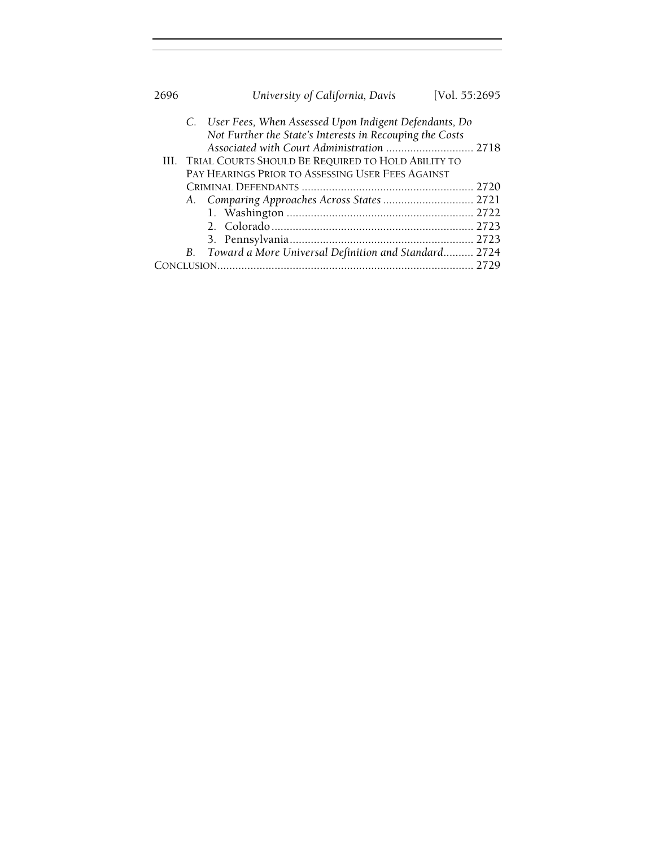| 2696 |                                                                                                                                                                                                                                                                                    | University of California, Davis                         | [Vol. 55:2695 |  |  |
|------|------------------------------------------------------------------------------------------------------------------------------------------------------------------------------------------------------------------------------------------------------------------------------------|---------------------------------------------------------|---------------|--|--|
|      | C. User Fees, When Assessed Upon Indigent Defendants, Do<br>Not Further the State's Interests in Recouping the Costs<br>Associated with Court Administration  2718<br>III. TRIAL COURTS SHOULD BE REQUIRED TO HOLD ABILITY TO<br>PAY HEARINGS PRIOR TO ASSESSING USER FEES AGAINST |                                                         |               |  |  |
|      |                                                                                                                                                                                                                                                                                    |                                                         |               |  |  |
|      |                                                                                                                                                                                                                                                                                    |                                                         |               |  |  |
|      |                                                                                                                                                                                                                                                                                    |                                                         |               |  |  |
|      |                                                                                                                                                                                                                                                                                    |                                                         |               |  |  |
|      |                                                                                                                                                                                                                                                                                    |                                                         |               |  |  |
|      |                                                                                                                                                                                                                                                                                    | B. Toward a More Universal Definition and Standard 2724 |               |  |  |
|      |                                                                                                                                                                                                                                                                                    |                                                         |               |  |  |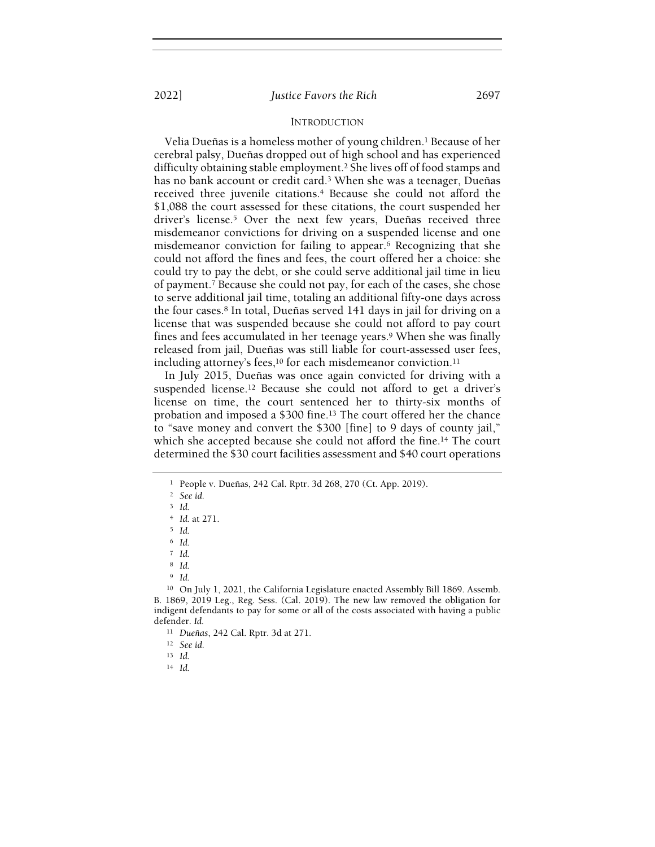#### INTRODUCTION

Velia Dueñas is a homeless mother of young children.<sup>1</sup> Because of her cerebral palsy, Dueñas dropped out of high school and has experienced difficulty obtaining stable employment.<sup>2</sup> She lives off of food stamps and has no bank account or credit card.<sup>3</sup> When she was a teenager, Dueñas received three juvenile citations.4 Because she could not afford the \$1,088 the court assessed for these citations, the court suspended her driver's license.5 Over the next few years, Dueñas received three misdemeanor convictions for driving on a suspended license and one misdemeanor conviction for failing to appear.6 Recognizing that she could not afford the fines and fees, the court offered her a choice: she could try to pay the debt, or she could serve additional jail time in lieu of payment.7 Because she could not pay, for each of the cases, she chose to serve additional jail time, totaling an additional fifty-one days across the four cases.8 In total, Dueñas served 141 days in jail for driving on a license that was suspended because she could not afford to pay court fines and fees accumulated in her teenage years.9 When she was finally released from jail, Dueñas was still liable for court-assessed user fees, including attorney's fees, $10$  for each misdemeanor conviction.<sup>11</sup>

In July 2015, Dueñas was once again convicted for driving with a suspended license.12 Because she could not afford to get a driver's license on time, the court sentenced her to thirty-six months of probation and imposed a \$300 fine.13 The court offered her the chance to "save money and convert the \$300 [fine] to 9 days of county jail," which she accepted because she could not afford the fine.14 The court determined the \$30 court facilities assessment and \$40 court operations

<sup>6</sup> Id.

<sup>8</sup> Id.

<sup>9</sup> Id.

<sup>1</sup> People v. Dueñas, 242 Cal. Rptr. 3d 268, 270 (Ct. App. 2019).

<sup>2</sup> See id.

<sup>3</sup> Id.

<sup>4</sup> Id. at 271.

<sup>5</sup> Id.

 $7$  Id.

<sup>10</sup> On July 1, 2021, the California Legislature enacted Assembly Bill 1869. Assemb. B. 1869, 2019 Leg., Reg. Sess. (Cal. 2019). The new law removed the obligation for indigent defendants to pay for some or all of the costs associated with having a public defender. Id.

<sup>11</sup> Dueñas, 242 Cal. Rptr. 3d at 271.

<sup>12</sup> See id.

<sup>13</sup> Id.

<sup>14</sup> Id.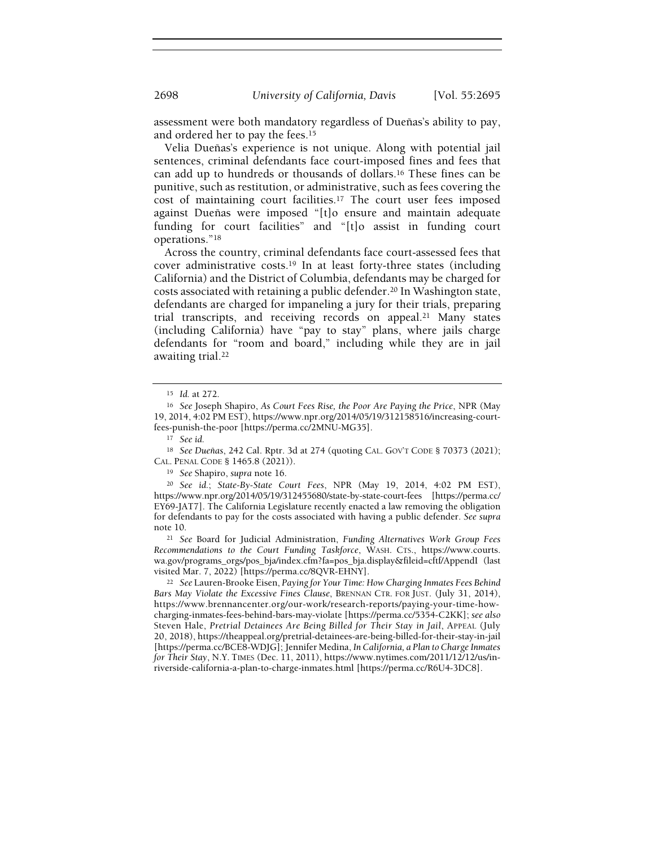assessment were both mandatory regardless of Dueñas's ability to pay, and ordered her to pay the fees.<sup>15</sup>

Velia Dueñas's experience is not unique. Along with potential jail sentences, criminal defendants face court-imposed fines and fees that can add up to hundreds or thousands of dollars.16 These fines can be punitive, such as restitution, or administrative, such as fees covering the cost of maintaining court facilities.17 The court user fees imposed against Dueñas were imposed "[t]o ensure and maintain adequate funding for court facilities" and "[t]o assist in funding court operations."<sup>18</sup>

Across the country, criminal defendants face court-assessed fees that cover administrative costs.19 In at least forty-three states (including California) and the District of Columbia, defendants may be charged for costs associated with retaining a public defender.20 In Washington state, defendants are charged for impaneling a jury for their trials, preparing trial transcripts, and receiving records on appeal.21 Many states (including California) have "pay to stay" plans, where jails charge defendants for "room and board," including while they are in jail awaiting trial.<sup>22</sup>

<sup>18</sup> See Dueñas, 242 Cal. Rptr. 3d at 274 (quoting CAL. GOV'T CODE § 70373 (2021); CAL. PENAL CODE § 1465.8 (2021)).

<sup>19</sup> See Shapiro, supra note 16.

<sup>20</sup> See id.; State-By-State Court Fees, NPR (May 19, 2014, 4:02 PM EST), https://www.npr.org/2014/05/19/312455680/state-by-state-court-fees [https://perma.cc/ EY69-JAT7]. The California Legislature recently enacted a law removing the obligation for defendants to pay for the costs associated with having a public defender. See supra note 10.

<sup>21</sup> See Board for Judicial Administration, Funding Alternatives Work Group Fees Recommendations to the Court Funding Taskforce, WASH. CTS., https://www.courts. wa.gov/programs\_orgs/pos\_bja/index.cfm?fa=pos\_bja.display&fileid=cftf/AppendI (last visited Mar. 7, 2022) [https://perma.cc/8QVR-EHNY].

<sup>22</sup> See Lauren-Brooke Eisen, Paying for Your Time: How Charging Inmates Fees Behind Bars May Violate the Excessive Fines Clause, BRENNAN CTR. FOR JUST. (July 31, 2014), https://www.brennancenter.org/our-work/research-reports/paying-your-time-howcharging-inmates-fees-behind-bars-may-violate [https://perma.cc/5354-C2KK]; see also Steven Hale, Pretrial Detainees Are Being Billed for Their Stay in Jail, APPEAL (July 20, 2018), https://theappeal.org/pretrial-detainees-are-being-billed-for-their-stay-in-jail [https://perma.cc/BCE8-WDJG]; Jennifer Medina, In California, a Plan to Charge Inmates for Their Stay, N.Y. TIMES (Dec. 11, 2011), https://www.nytimes.com/2011/12/12/us/inriverside-california-a-plan-to-charge-inmates.html [https://perma.cc/R6U4-3DC8].

<sup>15</sup> Id. at 272.

<sup>16</sup> See Joseph Shapiro, As Court Fees Rise, the Poor Are Paying the Price, NPR (May 19, 2014, 4:02 PM EST), https://www.npr.org/2014/05/19/312158516/increasing-courtfees-punish-the-poor [https://perma.cc/2MNU-MG35].

<sup>17</sup> See id.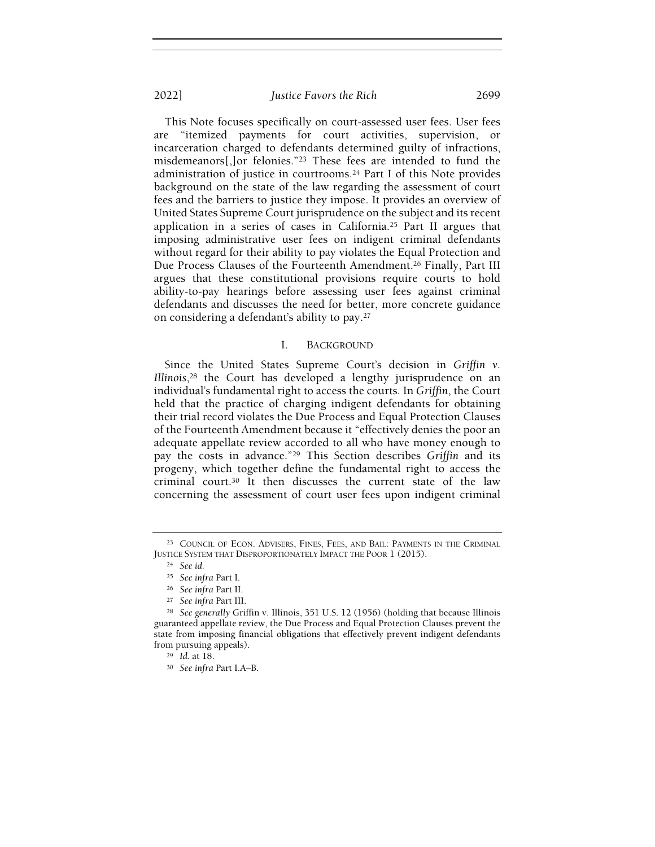This Note focuses specifically on court-assessed user fees. User fees "itemized payments for court activities, supervision, or incarceration charged to defendants determined guilty of infractions, misdemeanors[,]or felonies."23 These fees are intended to fund the administration of justice in courtrooms.24 Part I of this Note provides background on the state of the law regarding the assessment of court fees and the barriers to justice they impose. It provides an overview of United States Supreme Court jurisprudence on the subject and its recent application in a series of cases in California.25 Part II argues that imposing administrative user fees on indigent criminal defendants without regard for their ability to pay violates the Equal Protection and Due Process Clauses of the Fourteenth Amendment.26 Finally, Part III argues that these constitutional provisions require courts to hold ability-to-pay hearings before assessing user fees against criminal defendants and discusses the need for better, more concrete guidance on considering a defendant's ability to pay.<sup>27</sup>

#### I. BACKGROUND

Since the United States Supreme Court's decision in Griffin v. Illinois,28 the Court has developed a lengthy jurisprudence on an individual's fundamental right to access the courts. In Griffin, the Court held that the practice of charging indigent defendants for obtaining their trial record violates the Due Process and Equal Protection Clauses of the Fourteenth Amendment because it "effectively denies the poor an adequate appellate review accorded to all who have money enough to pay the costs in advance."29 This Section describes Griffin and its progeny, which together define the fundamental right to access the criminal court.30 It then discusses the current state of the law concerning the assessment of court user fees upon indigent criminal

<sup>23</sup> COUNCIL OF ECON. ADVISERS, FINES, FEES, AND BAIL: PAYMENTS IN THE CRIMINAL JUSTICE SYSTEM THAT DISPROPORTIONATELY IMPACT THE POOR 1 (2015).

<sup>24</sup> See id.

<sup>25</sup> See infra Part I.

<sup>26</sup> See infra Part II.

<sup>27</sup> See infra Part III.

<sup>&</sup>lt;sup>28</sup> See generally Griffin v. Illinois, 351 U.S. 12 (1956) (holding that because Illinois guaranteed appellate review, the Due Process and Equal Protection Clauses prevent the state from imposing financial obligations that effectively prevent indigent defendants from pursuing appeals).

<sup>29</sup> Id. at 18.

<sup>30</sup> See infra Part I.A–B.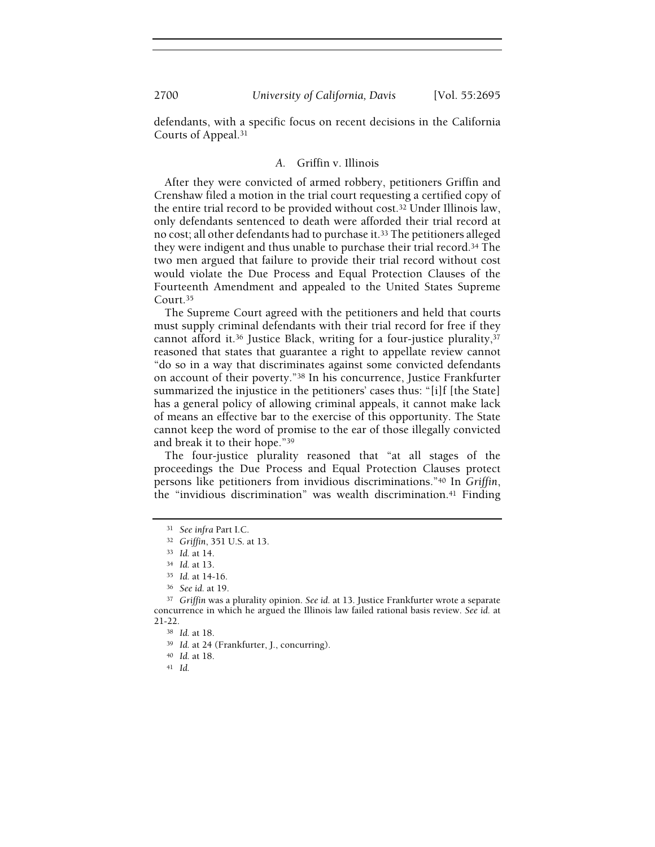defendants, with a specific focus on recent decisions in the California Courts of Appeal.<sup>31</sup>

#### A. Griffin v. Illinois

After they were convicted of armed robbery, petitioners Griffin and Crenshaw filed a motion in the trial court requesting a certified copy of the entire trial record to be provided without cost.32 Under Illinois law, only defendants sentenced to death were afforded their trial record at no cost; all other defendants had to purchase it.33 The petitioners alleged they were indigent and thus unable to purchase their trial record.34 The two men argued that failure to provide their trial record without cost would violate the Due Process and Equal Protection Clauses of the Fourteenth Amendment and appealed to the United States Supreme Court.<sup>35</sup>

The Supreme Court agreed with the petitioners and held that courts must supply criminal defendants with their trial record for free if they cannot afford it.36 Justice Black, writing for a four-justice plurality,<sup>37</sup> reasoned that states that guarantee a right to appellate review cannot "do so in a way that discriminates against some convicted defendants on account of their poverty."38 In his concurrence, Justice Frankfurter summarized the injustice in the petitioners' cases thus: "[i]f [the State] has a general policy of allowing criminal appeals, it cannot make lack of means an effective bar to the exercise of this opportunity. The State cannot keep the word of promise to the ear of those illegally convicted and break it to their hope."<sup>39</sup>

The four-justice plurality reasoned that "at all stages of the proceedings the Due Process and Equal Protection Clauses protect persons like petitioners from invidious discriminations."40 In Griffin, the "invidious discrimination" was wealth discrimination.41 Finding

<sup>31</sup> See infra Part I.C.

<sup>32</sup> Griffin, 351 U.S. at 13.

<sup>33</sup> Id. at 14.

<sup>34</sup> Id. at 13.

<sup>35</sup> Id. at 14-16.

<sup>36</sup> See id. at 19.

<sup>&</sup>lt;sup>37</sup> Griffin was a plurality opinion. See id. at 13. Justice Frankfurter wrote a separate concurrence in which he argued the Illinois law failed rational basis review. See id. at 21-22.

<sup>38</sup> Id. at 18.

<sup>39</sup> Id. at 24 (Frankfurter, J., concurring).

<sup>40</sup> Id. at 18.

<sup>41</sup> Id.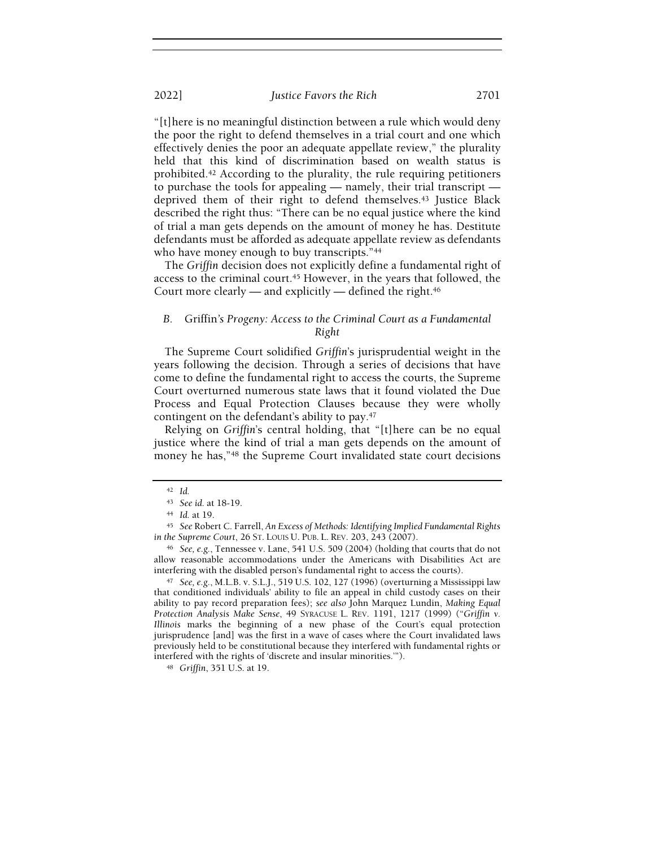"[t]here is no meaningful distinction between a rule which would deny the poor the right to defend themselves in a trial court and one which effectively denies the poor an adequate appellate review," the plurality held that this kind of discrimination based on wealth status is prohibited.42 According to the plurality, the rule requiring petitioners to purchase the tools for appealing — namely, their trial transcript deprived them of their right to defend themselves.43 Justice Black described the right thus: "There can be no equal justice where the kind of trial a man gets depends on the amount of money he has. Destitute defendants must be afforded as adequate appellate review as defendants who have money enough to buy transcripts."<sup>44</sup>

The Griffin decision does not explicitly define a fundamental right of access to the criminal court.<sup>45</sup> However, in the years that followed, the Court more clearly — and explicitly — defined the right. $46$ 

## B. Griffin's Progeny: Access to the Criminal Court as a Fundamental Right

The Supreme Court solidified Griffin's jurisprudential weight in the years following the decision. Through a series of decisions that have come to define the fundamental right to access the courts, the Supreme Court overturned numerous state laws that it found violated the Due Process and Equal Protection Clauses because they were wholly contingent on the defendant's ability to pay.<sup>47</sup>

Relying on Griffin's central holding, that "[t]here can be no equal justice where the kind of trial a man gets depends on the amount of money he has,"<sup>48</sup> the Supreme Court invalidated state court decisions

<sup>47</sup> See, e.g., M.L.B. v. S.L.J., 519 U.S. 102, 127 (1996) (overturning a Mississippi law that conditioned individuals' ability to file an appeal in child custody cases on their ability to pay record preparation fees); see also John Marquez Lundin, Making Equal Protection Analysis Make Sense, 49 SYRACUSE L. REV. 1191, 1217 (1999) ("Griffin v. Illinois marks the beginning of a new phase of the Court's equal protection jurisprudence [and] was the first in a wave of cases where the Court invalidated laws previously held to be constitutional because they interfered with fundamental rights or interfered with the rights of 'discrete and insular minorities.'").

<sup>48</sup> Griffin, 351 U.S. at 19.

<sup>42</sup> Id.

<sup>43</sup> See id. at 18-19.

<sup>44</sup> Id. at 19.

<sup>45</sup> See Robert C. Farrell, An Excess of Methods: Identifying Implied Fundamental Rights in the Supreme Court, 26 ST. LOUIS U. PUB. L. REV. 203, 243 (2007).

<sup>46</sup> See, e.g., Tennessee v. Lane, 541 U.S. 509 (2004) (holding that courts that do not allow reasonable accommodations under the Americans with Disabilities Act are interfering with the disabled person's fundamental right to access the courts).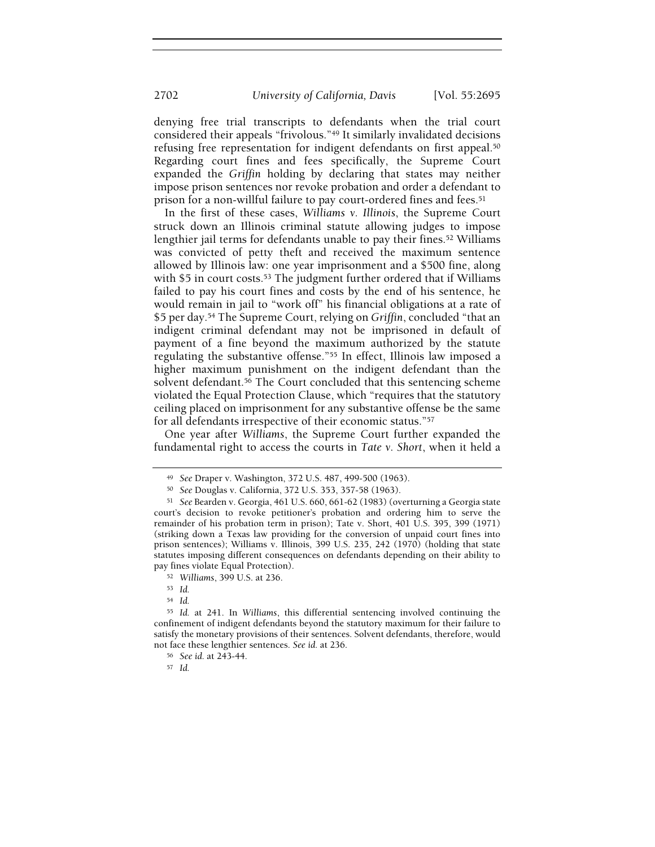denying free trial transcripts to defendants when the trial court considered their appeals "frivolous."49 It similarly invalidated decisions refusing free representation for indigent defendants on first appeal.<sup>50</sup> Regarding court fines and fees specifically, the Supreme Court expanded the Griffin holding by declaring that states may neither impose prison sentences nor revoke probation and order a defendant to prison for a non-willful failure to pay court-ordered fines and fees.<sup>51</sup>

In the first of these cases, Williams v. Illinois, the Supreme Court struck down an Illinois criminal statute allowing judges to impose lengthier jail terms for defendants unable to pay their fines.<sup>52</sup> Williams was convicted of petty theft and received the maximum sentence allowed by Illinois law: one year imprisonment and a \$500 fine, along with \$5 in court costs.<sup>53</sup> The judgment further ordered that if Williams failed to pay his court fines and costs by the end of his sentence, he would remain in jail to "work off" his financial obligations at a rate of \$5 per day.<sup>54</sup> The Supreme Court, relying on Griffin, concluded "that an indigent criminal defendant may not be imprisoned in default of payment of a fine beyond the maximum authorized by the statute regulating the substantive offense."55 In effect, Illinois law imposed a higher maximum punishment on the indigent defendant than the solvent defendant.<sup>56</sup> The Court concluded that this sentencing scheme violated the Equal Protection Clause, which "requires that the statutory ceiling placed on imprisonment for any substantive offense be the same for all defendants irrespective of their economic status."<sup>57</sup>

One year after Williams, the Supreme Court further expanded the fundamental right to access the courts in Tate v. Short, when it held a

<sup>52</sup> Williams, 399 U.S. at 236.

<sup>54</sup> Id.

<sup>49</sup> See Draper v. Washington, 372 U.S. 487, 499-500 (1963).

<sup>50</sup> See Douglas v. California, 372 U.S. 353, 357-58 (1963).

<sup>51</sup> See Bearden v. Georgia, 461 U.S. 660, 661-62 (1983) (overturning a Georgia state court's decision to revoke petitioner's probation and ordering him to serve the remainder of his probation term in prison); Tate v. Short, 401 U.S. 395, 399 (1971) (striking down a Texas law providing for the conversion of unpaid court fines into prison sentences); Williams v. Illinois, 399 U.S. 235, 242 (1970) (holding that state statutes imposing different consequences on defendants depending on their ability to pay fines violate Equal Protection).

<sup>53</sup> Id.

<sup>55</sup> Id. at 241. In Williams, this differential sentencing involved continuing the confinement of indigent defendants beyond the statutory maximum for their failure to satisfy the monetary provisions of their sentences. Solvent defendants, therefore, would not face these lengthier sentences. See id. at 236.

<sup>56</sup> See id. at 243-44.

<sup>57</sup> Id.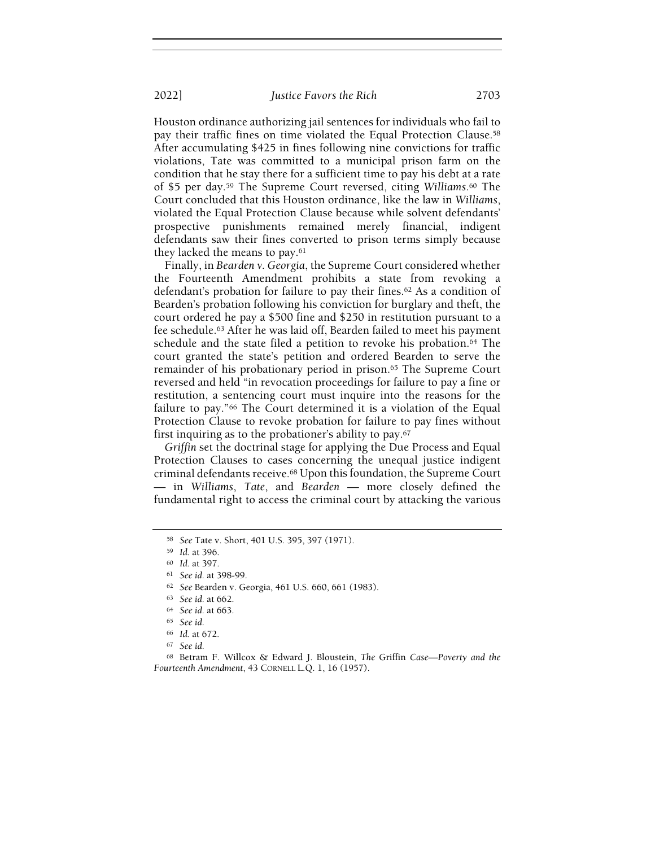Houston ordinance authorizing jail sentences for individuals who fail to pay their traffic fines on time violated the Equal Protection Clause.<sup>58</sup> After accumulating \$425 in fines following nine convictions for traffic violations, Tate was committed to a municipal prison farm on the condition that he stay there for a sufficient time to pay his debt at a rate of \$5 per day.59 The Supreme Court reversed, citing Williams.60 The Court concluded that this Houston ordinance, like the law in Williams, violated the Equal Protection Clause because while solvent defendants' prospective punishments remained merely financial, indigent defendants saw their fines converted to prison terms simply because they lacked the means to pay.<sup>61</sup>

Finally, in Bearden v. Georgia, the Supreme Court considered whether the Fourteenth Amendment prohibits a state from revoking a defendant's probation for failure to pay their fines.62 As a condition of Bearden's probation following his conviction for burglary and theft, the court ordered he pay a \$500 fine and \$250 in restitution pursuant to a fee schedule.63 After he was laid off, Bearden failed to meet his payment schedule and the state filed a petition to revoke his probation.64 The court granted the state's petition and ordered Bearden to serve the remainder of his probationary period in prison.<sup>65</sup> The Supreme Court reversed and held "in revocation proceedings for failure to pay a fine or restitution, a sentencing court must inquire into the reasons for the failure to pay."66 The Court determined it is a violation of the Equal Protection Clause to revoke probation for failure to pay fines without first inquiring as to the probationer's ability to pay.<sup>67</sup>

Griffin set the doctrinal stage for applying the Due Process and Equal Protection Clauses to cases concerning the unequal justice indigent criminal defendants receive.68 Upon this foundation, the Supreme Court — in Williams, Tate, and Bearden — more closely defined the fundamental right to access the criminal court by attacking the various

<sup>58</sup> See Tate v. Short, 401 U.S. 395, 397 (1971).

<sup>59</sup> Id. at 396.

<sup>60</sup> Id. at 397.

<sup>61</sup> See id. at 398-99.

<sup>62</sup> See Bearden v. Georgia, 461 U.S. 660, 661 (1983).

<sup>63</sup> See id. at 662.

<sup>64</sup> See id. at 663.

<sup>65</sup> See id.

<sup>66</sup> Id. at 672.

<sup>67</sup> See id.

<sup>68</sup> Betram F. Willcox & Edward J. Bloustein, The Griffin Case—Poverty and the Fourteenth Amendment, 43 CORNELL L.Q. 1, 16 (1957).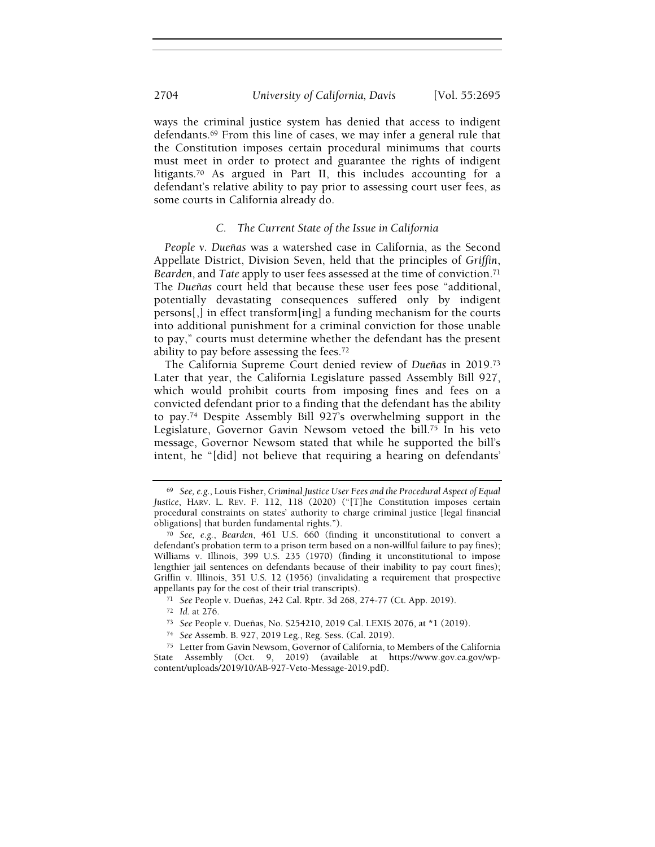ways the criminal justice system has denied that access to indigent defendants.69 From this line of cases, we may infer a general rule that the Constitution imposes certain procedural minimums that courts must meet in order to protect and guarantee the rights of indigent litigants.70 As argued in Part II, this includes accounting for a defendant's relative ability to pay prior to assessing court user fees, as some courts in California already do.

### C. The Current State of the Issue in California

People v. Dueñas was a watershed case in California, as the Second Appellate District, Division Seven, held that the principles of Griffin, Bearden, and Tate apply to user fees assessed at the time of conviction.<sup>71</sup> The Dueñas court held that because these user fees pose "additional, potentially devastating consequences suffered only by indigent persons[,] in effect transform[ing] a funding mechanism for the courts into additional punishment for a criminal conviction for those unable to pay," courts must determine whether the defendant has the present ability to pay before assessing the fees.<sup>72</sup>

The California Supreme Court denied review of Dueñas in 2019.<sup>73</sup> Later that year, the California Legislature passed Assembly Bill 927, which would prohibit courts from imposing fines and fees on a convicted defendant prior to a finding that the defendant has the ability to pay.74 Despite Assembly Bill 927's overwhelming support in the Legislature, Governor Gavin Newsom vetoed the bill.75 In his veto message, Governor Newsom stated that while he supported the bill's intent, he "[did] not believe that requiring a hearing on defendants'

 $69$  See, e.g., Louis Fisher, Criminal Justice User Fees and the Procedural Aspect of Equal Justice, HARV. L. REV. F. 112, 118 (2020) ("[T]he Constitution imposes certain procedural constraints on states' authority to charge criminal justice [legal financial obligations] that burden fundamental rights.").

<sup>70</sup> See, e.g., Bearden, 461 U.S. 660 (finding it unconstitutional to convert a defendant's probation term to a prison term based on a non-willful failure to pay fines); Williams v. Illinois, 399 U.S. 235 (1970) (finding it unconstitutional to impose lengthier jail sentences on defendants because of their inability to pay court fines); Griffin v. Illinois, 351 U.S. 12 (1956) (invalidating a requirement that prospective appellants pay for the cost of their trial transcripts).

<sup>71</sup> See People v. Dueñas, 242 Cal. Rptr. 3d 268, 274-77 (Ct. App. 2019).

<sup>72</sup> Id. at 276.

<sup>73</sup> See People v. Dueñas, No. S254210, 2019 Cal. LEXIS 2076, at \*1 (2019).

<sup>74</sup> See Assemb. B. 927, 2019 Leg., Reg. Sess. (Cal. 2019).

<sup>75</sup> Letter from Gavin Newsom, Governor of California, to Members of the California State Assembly (Oct. 9, 2019) (available at https://www.gov.ca.gov/wpcontent/uploads/2019/10/AB-927-Veto-Message-2019.pdf).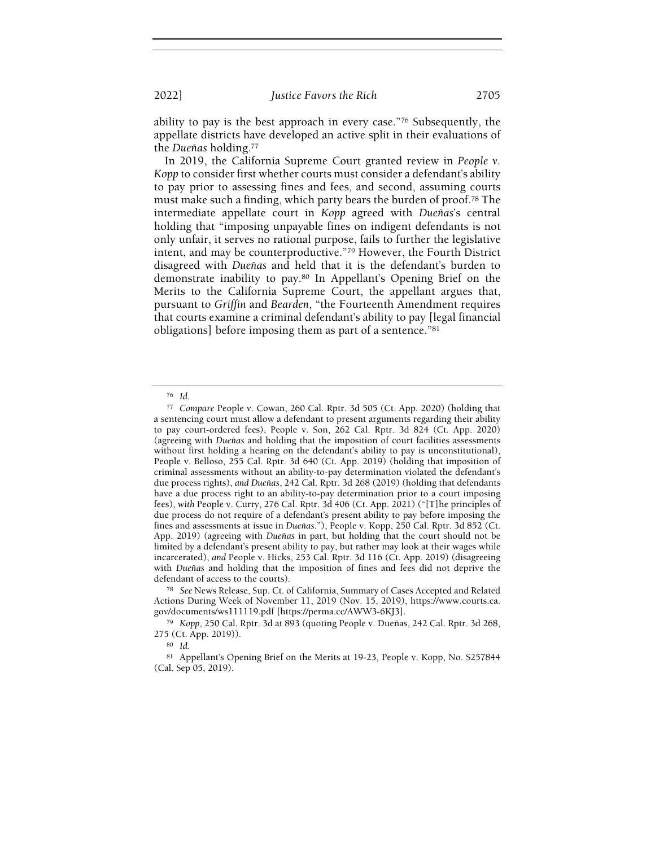ability to pay is the best approach in every case."76 Subsequently, the appellate districts have developed an active split in their evaluations of the Dueñas holding.<sup>77</sup>

In 2019, the California Supreme Court granted review in People v. Kopp to consider first whether courts must consider a defendant's ability to pay prior to assessing fines and fees, and second, assuming courts must make such a finding, which party bears the burden of proof.78 The intermediate appellate court in Kopp agreed with Dueñas's central holding that "imposing unpayable fines on indigent defendants is not only unfair, it serves no rational purpose, fails to further the legislative intent, and may be counterproductive."79 However, the Fourth District disagreed with Dueñas and held that it is the defendant's burden to demonstrate inability to pay.80 In Appellant's Opening Brief on the Merits to the California Supreme Court, the appellant argues that, pursuant to Griffin and Bearden, "the Fourteenth Amendment requires that courts examine a criminal defendant's ability to pay [legal financial obligations] before imposing them as part of a sentence."<sup>81</sup>

<sup>76</sup> Id.

<sup>77</sup> Compare People v. Cowan, 260 Cal. Rptr. 3d 505 (Ct. App. 2020) (holding that a sentencing court must allow a defendant to present arguments regarding their ability to pay court-ordered fees), People v. Son, 262 Cal. Rptr. 3d 824 (Ct. App. 2020) (agreeing with Dueñas and holding that the imposition of court facilities assessments without first holding a hearing on the defendant's ability to pay is unconstitutional), People v. Belloso, 255 Cal. Rptr. 3d 640 (Ct. App. 2019) (holding that imposition of criminal assessments without an ability-to-pay determination violated the defendant's due process rights), and Dueñas, 242 Cal. Rptr. 3d 268 (2019) (holding that defendants have a due process right to an ability-to-pay determination prior to a court imposing fees), with People v. Curry, 276 Cal. Rptr. 3d 406 (Ct. App. 2021) ("[T]he principles of due process do not require of a defendant's present ability to pay before imposing the fines and assessments at issue in Dueñas."), People v. Kopp, 250 Cal. Rptr. 3d 852 (Ct. App. 2019) (agreeing with Dueñas in part, but holding that the court should not be limited by a defendant's present ability to pay, but rather may look at their wages while incarcerated), and People v. Hicks, 253 Cal. Rptr. 3d 116 (Ct. App. 2019) (disagreeing with Dueñas and holding that the imposition of fines and fees did not deprive the defendant of access to the courts).

<sup>78</sup> See News Release, Sup. Ct. of California, Summary of Cases Accepted and Related Actions During Week of November 11, 2019 (Nov. 15, 2019), https://www.courts.ca. gov/documents/ws111119.pdf [https://perma.cc/AWW3-6KJ3].

<sup>79</sup> Kopp, 250 Cal. Rptr. 3d at 893 (quoting People v. Dueñas, 242 Cal. Rptr. 3d 268, 275 (Ct. App. 2019)).

<sup>80</sup> Id.

<sup>81</sup> Appellant's Opening Brief on the Merits at 19-23, People v. Kopp, No. S257844 (Cal. Sep 05, 2019).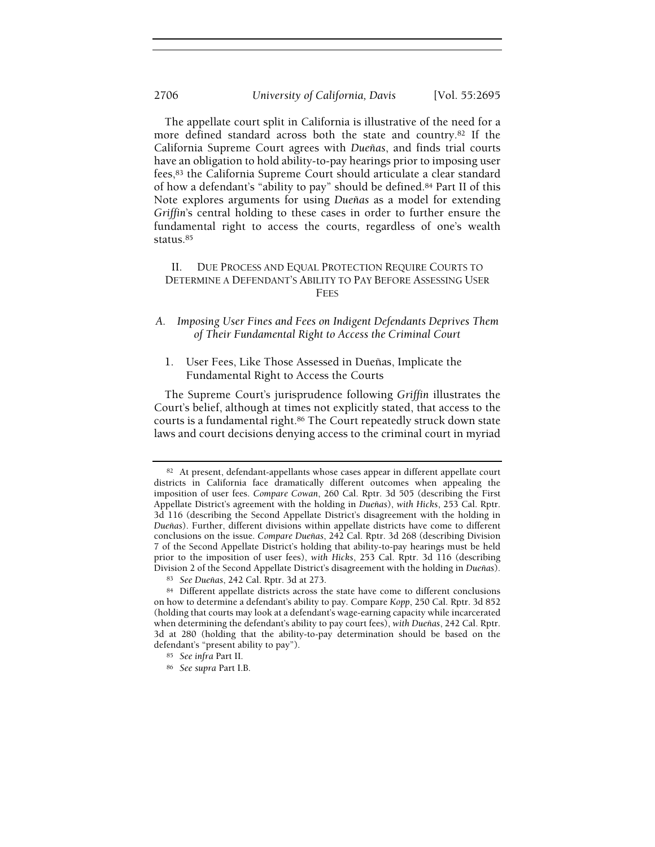The appellate court split in California is illustrative of the need for a more defined standard across both the state and country.82 If the California Supreme Court agrees with Dueñas, and finds trial courts have an obligation to hold ability-to-pay hearings prior to imposing user fees,83 the California Supreme Court should articulate a clear standard of how a defendant's "ability to pay" should be defined.84 Part II of this Note explores arguments for using Dueñas as a model for extending Griffin's central holding to these cases in order to further ensure the fundamental right to access the courts, regardless of one's wealth status.<sup>85</sup>

## II. DUE PROCESS AND EQUAL PROTECTION REQUIRE COURTS TO DETERMINE A DEFENDANT'S ABILITY TO PAY BEFORE ASSESSING USER FEES

## A. Imposing User Fines and Fees on Indigent Defendants Deprives Them of Their Fundamental Right to Access the Criminal Court

1. User Fees, Like Those Assessed in Dueñas, Implicate the Fundamental Right to Access the Courts

The Supreme Court's jurisprudence following Griffin illustrates the Court's belief, although at times not explicitly stated, that access to the courts is a fundamental right.86 The Court repeatedly struck down state laws and court decisions denying access to the criminal court in myriad

<sup>82</sup> At present, defendant-appellants whose cases appear in different appellate court districts in California face dramatically different outcomes when appealing the imposition of user fees. Compare Cowan, 260 Cal. Rptr. 3d 505 (describing the First Appellate District's agreement with the holding in Dueñas), with Hicks, 253 Cal. Rptr. 3d 116 (describing the Second Appellate District's disagreement with the holding in Dueñas). Further, different divisions within appellate districts have come to different conclusions on the issue. Compare Dueñas, 242 Cal. Rptr. 3d 268 (describing Division 7 of the Second Appellate District's holding that ability-to-pay hearings must be held prior to the imposition of user fees), with Hicks, 253 Cal. Rptr. 3d 116 (describing Division 2 of the Second Appellate District's disagreement with the holding in Dueñas).

<sup>83</sup> See Dueñas, 242 Cal. Rptr. 3d at 273.

<sup>84</sup> Different appellate districts across the state have come to different conclusions on how to determine a defendant's ability to pay. Compare Kopp, 250 Cal. Rptr. 3d 852 (holding that courts may look at a defendant's wage-earning capacity while incarcerated when determining the defendant's ability to pay court fees), with Dueñas, 242 Cal. Rptr. 3d at 280 (holding that the ability-to-pay determination should be based on the defendant's "present ability to pay").

<sup>85</sup> See infra Part II.

<sup>86</sup> See supra Part I.B.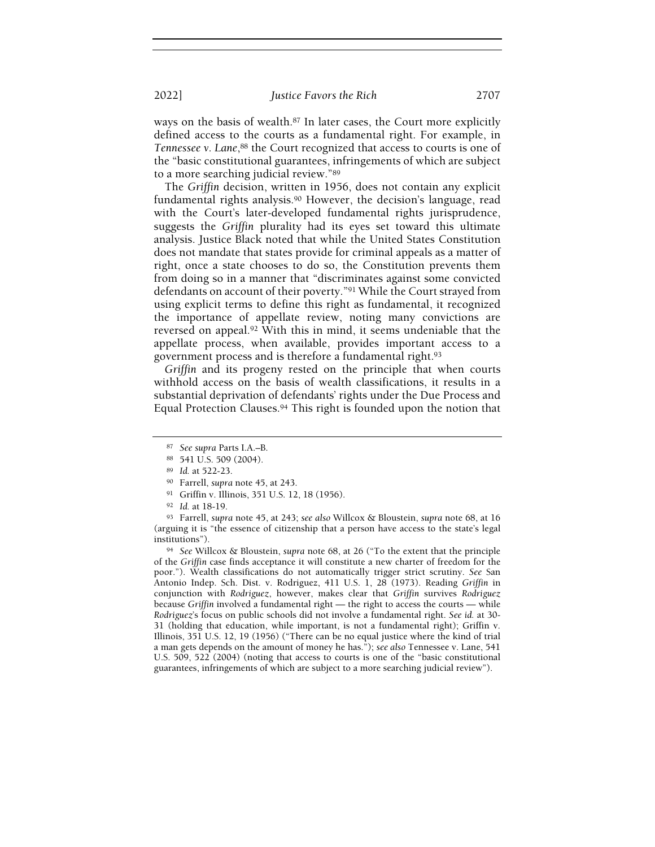ways on the basis of wealth.87 In later cases, the Court more explicitly defined access to the courts as a fundamental right. For example, in Tennessee v. Lane,<sup>88</sup> the Court recognized that access to courts is one of the "basic constitutional guarantees, infringements of which are subject to a more searching judicial review."<sup>89</sup>

The Griffin decision, written in 1956, does not contain any explicit fundamental rights analysis.<sup>90</sup> However, the decision's language, read with the Court's later-developed fundamental rights jurisprudence, suggests the Griffin plurality had its eyes set toward this ultimate analysis. Justice Black noted that while the United States Constitution does not mandate that states provide for criminal appeals as a matter of right, once a state chooses to do so, the Constitution prevents them from doing so in a manner that "discriminates against some convicted defendants on account of their poverty."91 While the Court strayed from using explicit terms to define this right as fundamental, it recognized the importance of appellate review, noting many convictions are reversed on appeal.92 With this in mind, it seems undeniable that the appellate process, when available, provides important access to a government process and is therefore a fundamental right.<sup>93</sup>

Griffin and its progeny rested on the principle that when courts withhold access on the basis of wealth classifications, it results in a substantial deprivation of defendants' rights under the Due Process and Equal Protection Clauses.94 This right is founded upon the notion that

<sup>94</sup> See Willcox & Bloustein, supra note 68, at 26 ("To the extent that the principle of the Griffin case finds acceptance it will constitute a new charter of freedom for the poor."). Wealth classifications do not automatically trigger strict scrutiny. See San Antonio Indep. Sch. Dist. v. Rodriguez, 411 U.S. 1, 28 (1973). Reading Griffin in conjunction with Rodriguez, however, makes clear that Griffin survives Rodriguez because Griffin involved a fundamental right — the right to access the courts — while Rodriguez's focus on public schools did not involve a fundamental right. See id. at 30- 31 (holding that education, while important, is not a fundamental right); Griffin v. Illinois, 351 U.S. 12, 19 (1956) ("There can be no equal justice where the kind of trial a man gets depends on the amount of money he has."); see also Tennessee v. Lane, 541 U.S. 509, 522 (2004) (noting that access to courts is one of the "basic constitutional guarantees, infringements of which are subject to a more searching judicial review").

<sup>87</sup> See supra Parts I.A.–B.

<sup>88</sup> 541 U.S. 509 (2004).

<sup>89</sup> Id. at 522-23.

<sup>90</sup> Farrell, supra note 45, at 243.

<sup>91</sup> Griffin v. Illinois, 351 U.S. 12, 18 (1956).

<sup>92</sup> Id. at 18-19.

<sup>93</sup> Farrell, supra note 45, at 243; see also Willcox & Bloustein, supra note 68, at 16 (arguing it is "the essence of citizenship that a person have access to the state's legal institutions").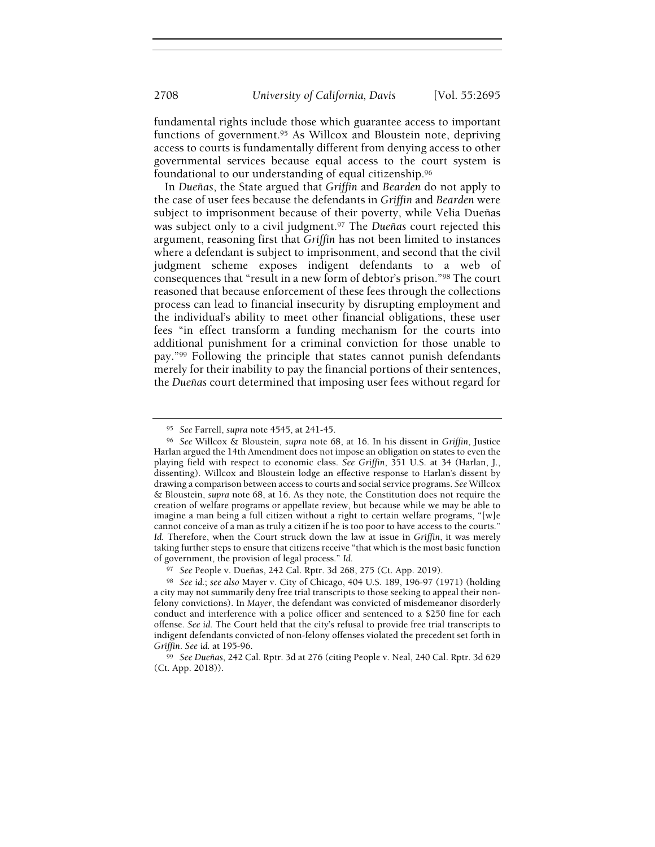fundamental rights include those which guarantee access to important functions of government.<sup>95</sup> As Willcox and Bloustein note, depriving access to courts is fundamentally different from denying access to other governmental services because equal access to the court system is foundational to our understanding of equal citizenship.<sup>96</sup>

In Dueñas, the State argued that Griffin and Bearden do not apply to the case of user fees because the defendants in Griffin and Bearden were subject to imprisonment because of their poverty, while Velia Dueñas was subject only to a civil judgment.<sup>97</sup> The Dueñas court rejected this argument, reasoning first that Griffin has not been limited to instances where a defendant is subject to imprisonment, and second that the civil judgment scheme exposes indigent defendants to a web of consequences that "result in a new form of debtor's prison."98 The court reasoned that because enforcement of these fees through the collections process can lead to financial insecurity by disrupting employment and the individual's ability to meet other financial obligations, these user fees "in effect transform a funding mechanism for the courts into additional punishment for a criminal conviction for those unable to pay."99 Following the principle that states cannot punish defendants merely for their inability to pay the financial portions of their sentences, the Dueñas court determined that imposing user fees without regard for

<sup>95</sup> See Farrell, supra note 4545, at 241-45.

<sup>96</sup> See Willcox & Bloustein, supra note 68, at 16. In his dissent in Griffin, Justice Harlan argued the 14th Amendment does not impose an obligation on states to even the playing field with respect to economic class. See Griffin, 351 U.S. at 34 (Harlan, J., dissenting). Willcox and Bloustein lodge an effective response to Harlan's dissent by drawing a comparison between access to courts and social service programs. See Willcox & Bloustein, supra note 68, at 16. As they note, the Constitution does not require the creation of welfare programs or appellate review, but because while we may be able to imagine a man being a full citizen without a right to certain welfare programs, "[w]e cannot conceive of a man as truly a citizen if he is too poor to have access to the courts." Id. Therefore, when the Court struck down the law at issue in Griffin, it was merely taking further steps to ensure that citizens receive "that which is the most basic function of government, the provision of legal process." Id.

<sup>97</sup> See People v. Dueñas, 242 Cal. Rptr. 3d 268, 275 (Ct. App. 2019).

<sup>98</sup> See id.; see also Mayer v. City of Chicago, 404 U.S. 189, 196-97 (1971) (holding a city may not summarily deny free trial transcripts to those seeking to appeal their nonfelony convictions). In Mayer, the defendant was convicted of misdemeanor disorderly conduct and interference with a police officer and sentenced to a \$250 fine for each offense. See id. The Court held that the city's refusal to provide free trial transcripts to indigent defendants convicted of non-felony offenses violated the precedent set forth in Griffin. See id. at 195-96.

<sup>99</sup> See Dueñas, 242 Cal. Rptr. 3d at 276 (citing People v. Neal, 240 Cal. Rptr. 3d 629 (Ct. App. 2018)).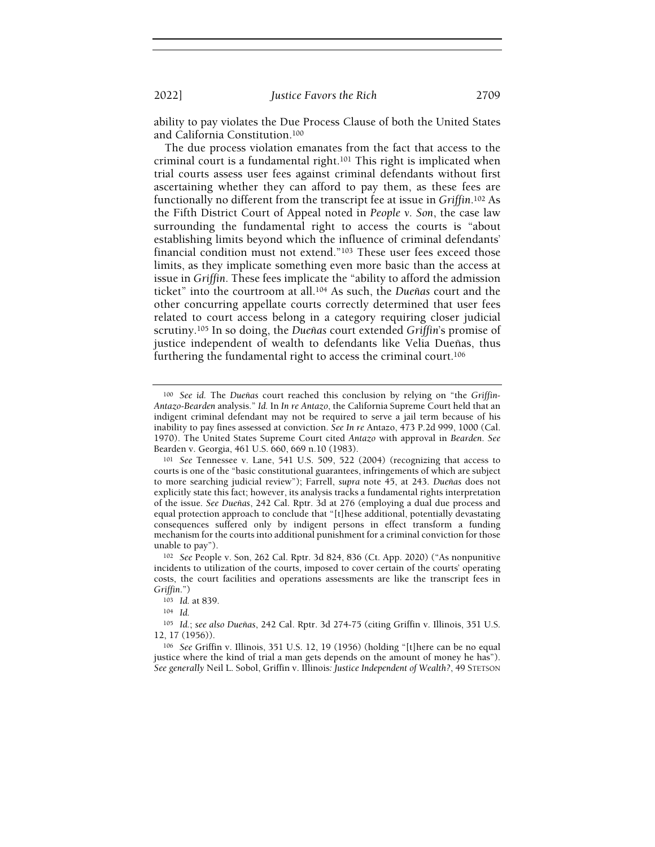ability to pay violates the Due Process Clause of both the United States and California Constitution.<sup>100</sup>

The due process violation emanates from the fact that access to the criminal court is a fundamental right.<sup>101</sup> This right is implicated when trial courts assess user fees against criminal defendants without first ascertaining whether they can afford to pay them, as these fees are functionally no different from the transcript fee at issue in Griffin.102 As the Fifth District Court of Appeal noted in People v. Son, the case law surrounding the fundamental right to access the courts is "about establishing limits beyond which the influence of criminal defendants' financial condition must not extend."103 These user fees exceed those limits, as they implicate something even more basic than the access at issue in Griffin. These fees implicate the "ability to afford the admission ticket" into the courtroom at all.104 As such, the Dueñas court and the other concurring appellate courts correctly determined that user fees related to court access belong in a category requiring closer judicial scrutiny.105 In so doing, the Dueñas court extended Griffin's promise of justice independent of wealth to defendants like Velia Dueñas, thus furthering the fundamental right to access the criminal court.<sup>106</sup>

 $100$  See id. The Dueñas court reached this conclusion by relying on "the Griffin-Antazo-Bearden analysis." Id. In In re Antazo, the California Supreme Court held that an indigent criminal defendant may not be required to serve a jail term because of his inability to pay fines assessed at conviction. See In re Antazo, 473 P.2d 999, 1000 (Cal. 1970). The United States Supreme Court cited Antazo with approval in Bearden. See Bearden v. Georgia, 461 U.S. 660, 669 n.10 (1983).

<sup>101</sup> See Tennessee v. Lane, 541 U.S. 509, 522 (2004) (recognizing that access to courts is one of the "basic constitutional guarantees, infringements of which are subject to more searching judicial review"); Farrell, supra note 45, at 243. Dueñas does not explicitly state this fact; however, its analysis tracks a fundamental rights interpretation of the issue. See Dueñas, 242 Cal. Rptr. 3d at 276 (employing a dual due process and equal protection approach to conclude that "[t]hese additional, potentially devastating consequences suffered only by indigent persons in effect transform a funding mechanism for the courts into additional punishment for a criminal conviction for those unable to pay").

<sup>102</sup> See People v. Son, 262 Cal. Rptr. 3d 824, 836 (Ct. App. 2020) ("As nonpunitive incidents to utilization of the courts, imposed to cover certain of the courts' operating costs, the court facilities and operations assessments are like the transcript fees in Griffin.")

<sup>103</sup> Id. at 839.

<sup>104</sup> Id.

<sup>105</sup> Id.; see also Dueñas, 242 Cal. Rptr. 3d 274-75 (citing Griffin v. Illinois, 351 U.S. 12, 17 (1956)).

<sup>106</sup> See Griffin v. Illinois, 351 U.S. 12, 19 (1956) (holding "[t]here can be no equal justice where the kind of trial a man gets depends on the amount of money he has"). See generally Neil L. Sobol, Griffin v. Illinois: Justice Independent of Wealth?, 49 STETSON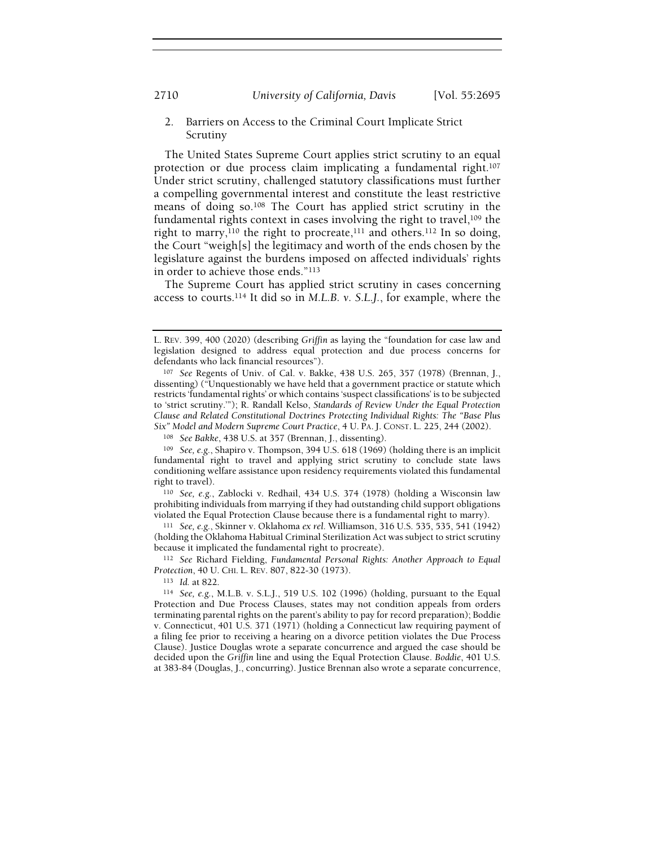2710 University of California, Davis [Vol. 55:2695

## 2. Barriers on Access to the Criminal Court Implicate Strict Scrutiny

The United States Supreme Court applies strict scrutiny to an equal protection or due process claim implicating a fundamental right.<sup>107</sup> Under strict scrutiny, challenged statutory classifications must further a compelling governmental interest and constitute the least restrictive means of doing so.108 The Court has applied strict scrutiny in the fundamental rights context in cases involving the right to travel,109 the right to marry,<sup>110</sup> the right to procreate,<sup>111</sup> and others.<sup>112</sup> In so doing, the Court "weigh[s] the legitimacy and worth of the ends chosen by the legislature against the burdens imposed on affected individuals' rights in order to achieve those ends."<sup>113</sup>

The Supreme Court has applied strict scrutiny in cases concerning access to courts.114 It did so in M.L.B. v. S.L.J., for example, where the

<sup>110</sup> See, e.g., Zablocki v. Redhail, 434 U.S. 374 (1978) (holding a Wisconsin law prohibiting individuals from marrying if they had outstanding child support obligations violated the Equal Protection Clause because there is a fundamental right to marry).

<sup>111</sup> See, e.g., Skinner v. Oklahoma ex rel. Williamson, 316 U.S. 535, 535, 541 (1942) (holding the Oklahoma Habitual Criminal Sterilization Act was subject to strict scrutiny because it implicated the fundamental right to procreate).

112 See Richard Fielding, Fundamental Personal Rights: Another Approach to Equal Protection, 40 U. CHI. L. REV. 807, 822-30 (1973).

<sup>113</sup> Id. at 822.

L. REV. 399, 400 (2020) (describing Griffin as laying the "foundation for case law and legislation designed to address equal protection and due process concerns for defendants who lack financial resources").

<sup>107</sup> See Regents of Univ. of Cal. v. Bakke, 438 U.S. 265, 357 (1978) (Brennan, J., dissenting) ("Unquestionably we have held that a government practice or statute which restricts 'fundamental rights' or which contains 'suspect classifications' is to be subjected to 'strict scrutiny.'"); R. Randall Kelso, Standards of Review Under the Equal Protection Clause and Related Constitutional Doctrines Protecting Individual Rights: The "Base Plus Six" Model and Modern Supreme Court Practice, 4 U. PA. J. CONST. L. 225, 244 (2002).

<sup>108</sup> See Bakke, 438 U.S. at 357 (Brennan, J., dissenting).

<sup>109</sup> See, e.g., Shapiro v. Thompson, 394 U.S. 618 (1969) (holding there is an implicit fundamental right to travel and applying strict scrutiny to conclude state laws conditioning welfare assistance upon residency requirements violated this fundamental right to travel).

<sup>114</sup> See, e.g., M.L.B. v. S.L.J., 519 U.S. 102 (1996) (holding, pursuant to the Equal Protection and Due Process Clauses, states may not condition appeals from orders terminating parental rights on the parent's ability to pay for record preparation); Boddie v. Connecticut, 401 U.S. 371 (1971) (holding a Connecticut law requiring payment of a filing fee prior to receiving a hearing on a divorce petition violates the Due Process Clause). Justice Douglas wrote a separate concurrence and argued the case should be decided upon the Griffin line and using the Equal Protection Clause. Boddie, 401 U.S. at 383-84 (Douglas, J., concurring). Justice Brennan also wrote a separate concurrence,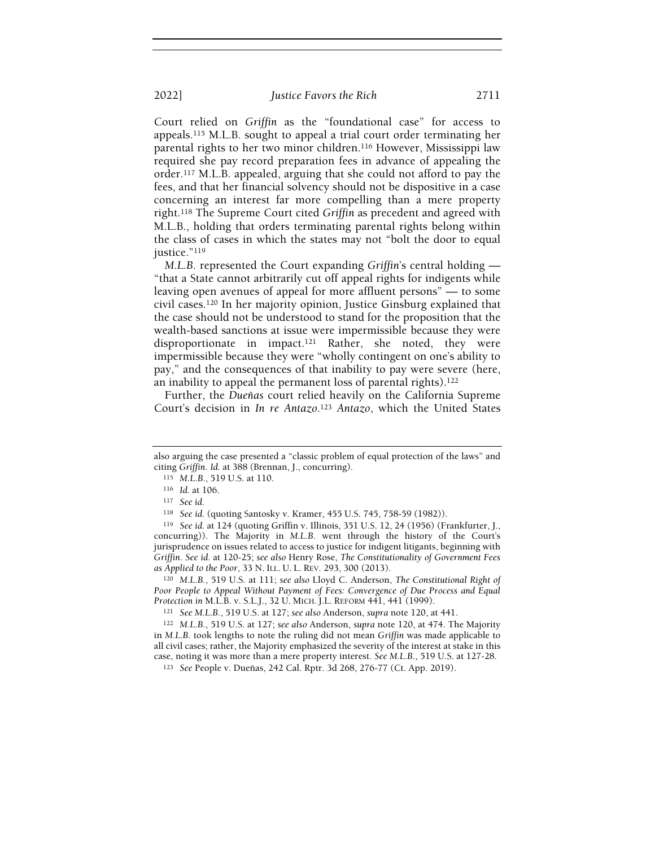Court relied on Griffin as the "foundational case" for access to appeals.115 M.L.B. sought to appeal a trial court order terminating her parental rights to her two minor children.116 However, Mississippi law required she pay record preparation fees in advance of appealing the order.117 M.L.B. appealed, arguing that she could not afford to pay the fees, and that her financial solvency should not be dispositive in a case concerning an interest far more compelling than a mere property right.118 The Supreme Court cited Griffin as precedent and agreed with M.L.B., holding that orders terminating parental rights belong within the class of cases in which the states may not "bolt the door to equal justice."<sup>119</sup>

M.L.B. represented the Court expanding Griffin's central holding — "that a State cannot arbitrarily cut off appeal rights for indigents while leaving open avenues of appeal for more affluent persons" — to some civil cases.120 In her majority opinion, Justice Ginsburg explained that the case should not be understood to stand for the proposition that the wealth-based sanctions at issue were impermissible because they were disproportionate in impact.121 Rather, she noted, they were impermissible because they were "wholly contingent on one's ability to pay," and the consequences of that inability to pay were severe (here, an inability to appeal the permanent loss of parental rights).<sup>122</sup>

Further, the Dueñas court relied heavily on the California Supreme Court's decision in In re Antazo.<sup>123</sup> Antazo, which the United States

<sup>120</sup> M.L.B., 519 U.S. at 111; see also Lloyd C. Anderson, The Constitutional Right of Poor People to Appeal Without Payment of Fees: Convergence of Due Process and Equal Protection in M.L.B. v. S.L.J., 32 U. MICH. J.L. REFORM 441, 441 (1999).

<sup>121</sup> See M.L.B., 519 U.S. at 127; see also Anderson, supra note 120, at 441.

<sup>122</sup> M.L.B., 519 U.S. at 127; see also Anderson, supra note 120, at 474. The Majority in M.L.B. took lengths to note the ruling did not mean Griffin was made applicable to all civil cases; rather, the Majority emphasized the severity of the interest at stake in this case, noting it was more than a mere property interest. See M.L.B., 519 U.S. at 127-28.

also arguing the case presented a "classic problem of equal protection of the laws" and citing Griffin. Id. at 388 (Brennan, J., concurring).

<sup>115</sup> M.L.B., 519 U.S. at 110.

<sup>116</sup> Id. at 106.

<sup>117</sup> See id.

<sup>118</sup> See id. (quoting Santosky v. Kramer, 455 U.S. 745, 758-59 (1982)).

<sup>119</sup> See id. at 124 (quoting Griffin v. Illinois, 351 U.S. 12, 24 (1956) (Frankfurter, J., concurring)). The Majority in M.L.B. went through the history of the Court's jurisprudence on issues related to access to justice for indigent litigants, beginning with Griffin. See id. at 120-25; see also Henry Rose, The Constitutionality of Government Fees as Applied to the Poor, 33 N. ILL. U. L. REV. 293, 300 (2013).

<sup>123</sup> See People v. Dueñas, 242 Cal. Rptr. 3d 268, 276-77 (Ct. App. 2019).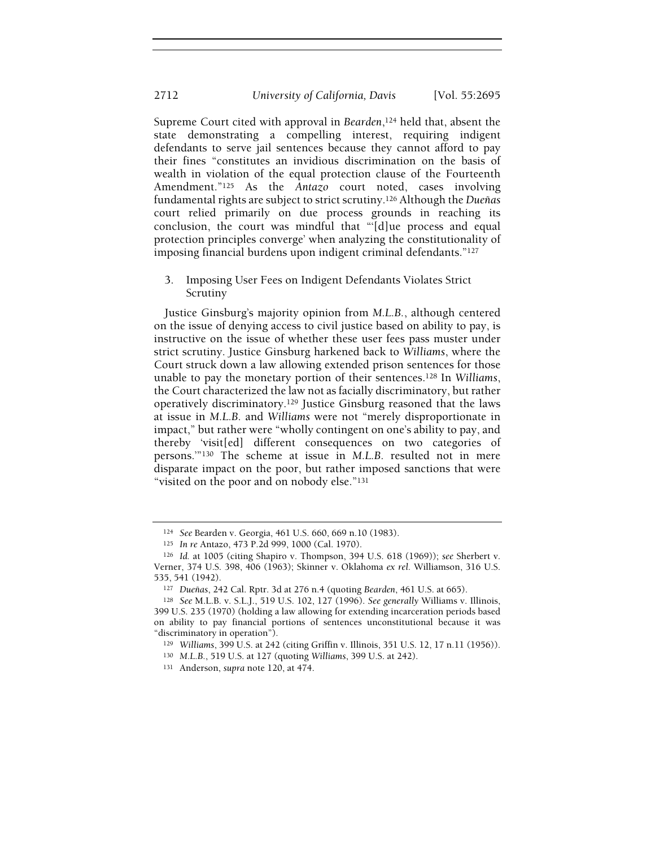Supreme Court cited with approval in Bearden,<sup>124</sup> held that, absent the state demonstrating a compelling interest, requiring indigent defendants to serve jail sentences because they cannot afford to pay their fines "constitutes an invidious discrimination on the basis of wealth in violation of the equal protection clause of the Fourteenth Amendment."<sup>125</sup> As the Antazo court noted, cases involving fundamental rights are subject to strict scrutiny.126 Although the Dueñas court relied primarily on due process grounds in reaching its conclusion, the court was mindful that "'[d]ue process and equal protection principles converge' when analyzing the constitutionality of imposing financial burdens upon indigent criminal defendants."<sup>127</sup>

3. Imposing User Fees on Indigent Defendants Violates Strict Scrutiny

Justice Ginsburg's majority opinion from M.L.B., although centered on the issue of denying access to civil justice based on ability to pay, is instructive on the issue of whether these user fees pass muster under strict scrutiny. Justice Ginsburg harkened back to Williams, where the Court struck down a law allowing extended prison sentences for those unable to pay the monetary portion of their sentences.128 In Williams, the Court characterized the law not as facially discriminatory, but rather operatively discriminatory.129 Justice Ginsburg reasoned that the laws at issue in M.L.B. and Williams were not "merely disproportionate in impact," but rather were "wholly contingent on one's ability to pay, and thereby 'visit[ed] different consequences on two categories of persons.'"130 The scheme at issue in M.L.B. resulted not in mere disparate impact on the poor, but rather imposed sanctions that were "visited on the poor and on nobody else."<sup>131</sup>

<sup>124</sup> See Bearden v. Georgia, 461 U.S. 660, 669 n.10 (1983).

<sup>125</sup> In re Antazo, 473 P.2d 999, 1000 (Cal. 1970).

<sup>126</sup> Id. at 1005 (citing Shapiro v. Thompson, 394 U.S. 618 (1969)); see Sherbert v. Verner, 374 U.S. 398, 406 (1963); Skinner v. Oklahoma ex rel. Williamson, 316 U.S. 535, 541 (1942).

<sup>127</sup> Dueñas, 242 Cal. Rptr. 3d at 276 n.4 (quoting Bearden, 461 U.S. at 665).

<sup>128</sup> See M.L.B. v. S.L.J., 519 U.S. 102, 127 (1996). See generally Williams v. Illinois, 399 U.S. 235 (1970) (holding a law allowing for extending incarceration periods based on ability to pay financial portions of sentences unconstitutional because it was "discriminatory in operation").

<sup>129</sup> Williams, 399 U.S. at 242 (citing Griffin v. Illinois, 351 U.S. 12, 17 n.11 (1956)).

<sup>130</sup> M.L.B., 519 U.S. at 127 (quoting Williams, 399 U.S. at 242).

<sup>131</sup> Anderson, supra note 120, at 474.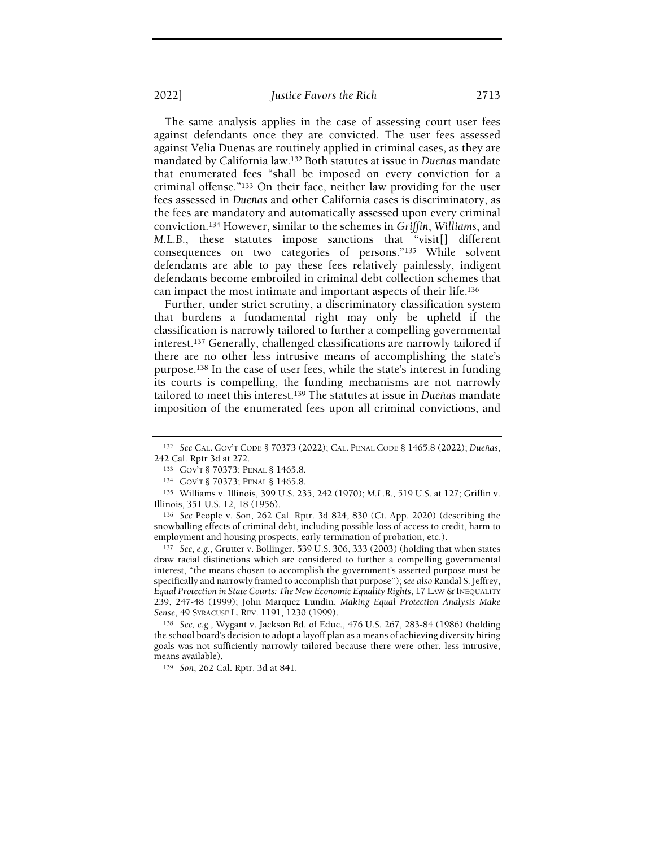The same analysis applies in the case of assessing court user fees against defendants once they are convicted. The user fees assessed against Velia Dueñas are routinely applied in criminal cases, as they are mandated by California law.132 Both statutes at issue in Dueñas mandate that enumerated fees "shall be imposed on every conviction for a criminal offense."133 On their face, neither law providing for the user fees assessed in Dueñas and other California cases is discriminatory, as the fees are mandatory and automatically assessed upon every criminal conviction.134 However, similar to the schemes in Griffin, Williams, and M.L.B., these statutes impose sanctions that "visit[] different consequences on two categories of persons."135 While solvent defendants are able to pay these fees relatively painlessly, indigent defendants become embroiled in criminal debt collection schemes that can impact the most intimate and important aspects of their life.<sup>136</sup>

Further, under strict scrutiny, a discriminatory classification system that burdens a fundamental right may only be upheld if the classification is narrowly tailored to further a compelling governmental interest.137 Generally, challenged classifications are narrowly tailored if there are no other less intrusive means of accomplishing the state's purpose.138 In the case of user fees, while the state's interest in funding its courts is compelling, the funding mechanisms are not narrowly tailored to meet this interest.<sup>139</sup> The statutes at issue in Dueñas mandate imposition of the enumerated fees upon all criminal convictions, and

<sup>136</sup> See People v. Son, 262 Cal. Rptr. 3d 824, 830 (Ct. App. 2020) (describing the snowballing effects of criminal debt, including possible loss of access to credit, harm to employment and housing prospects, early termination of probation, etc.).

<sup>137</sup> See, e.g., Grutter v. Bollinger, 539 U.S. 306, 333 (2003) (holding that when states draw racial distinctions which are considered to further a compelling governmental interest, "the means chosen to accomplish the government's asserted purpose must be specifically and narrowly framed to accomplish that purpose"); see also Randal S. Jeffrey, Equal Protection in State Courts: The New Economic Equality Rights, 17 LAW & INEQUALITY 239, 247-48 (1999); John Marquez Lundin, Making Equal Protection Analysis Make Sense, 49 SYRACUSE L. REV. 1191, 1230 (1999).

<sup>138</sup> See, e.g., Wygant v. Jackson Bd. of Educ., 476 U.S. 267, 283-84 (1986) (holding the school board's decision to adopt a layoff plan as a means of achieving diversity hiring goals was not sufficiently narrowly tailored because there were other, less intrusive, means available).

<sup>139</sup> Son, 262 Cal. Rptr. 3d at 841.

<sup>132</sup> See CAL. GOV'T CODE § 70373 (2022); CAL. PENAL CODE § 1465.8 (2022); Dueñas, 242 Cal. Rptr 3d at 272.

<sup>133</sup> GOV'T § 70373; PENAL § 1465.8.

<sup>134</sup> GOV'T § 70373; PENAL § 1465.8.

<sup>135</sup> Williams v. Illinois, 399 U.S. 235, 242 (1970); M.L.B., 519 U.S. at 127; Griffin v. Illinois, 351 U.S. 12, 18 (1956).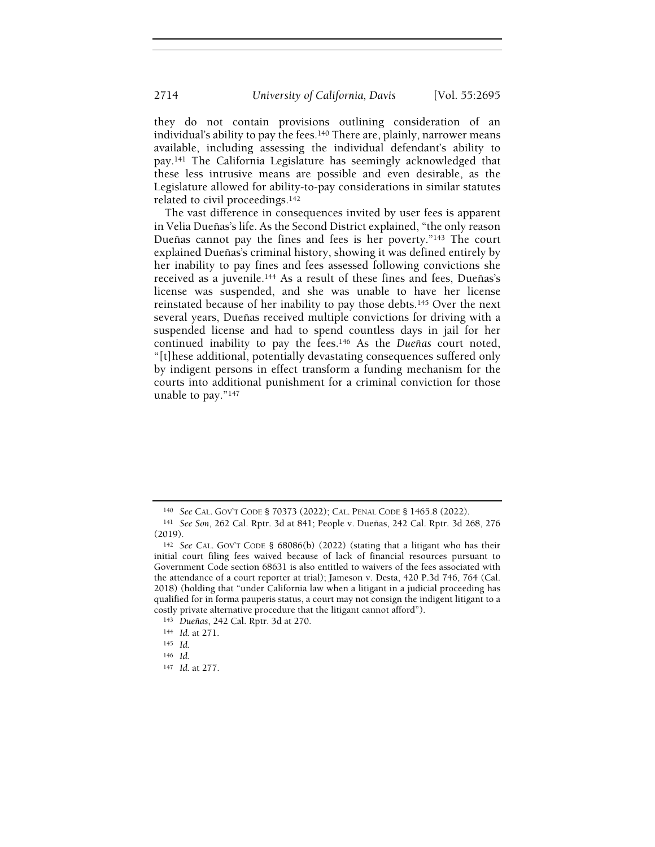they do not contain provisions outlining consideration of an individual's ability to pay the fees.<sup>140</sup> There are, plainly, narrower means available, including assessing the individual defendant's ability to pay.141 The California Legislature has seemingly acknowledged that these less intrusive means are possible and even desirable, as the Legislature allowed for ability-to-pay considerations in similar statutes related to civil proceedings.<sup>142</sup>

The vast difference in consequences invited by user fees is apparent in Velia Dueñas's life. As the Second District explained, "the only reason Dueñas cannot pay the fines and fees is her poverty."143 The court explained Dueñas's criminal history, showing it was defined entirely by her inability to pay fines and fees assessed following convictions she received as a juvenile.144 As a result of these fines and fees, Dueñas's license was suspended, and she was unable to have her license reinstated because of her inability to pay those debts.145 Over the next several years, Dueñas received multiple convictions for driving with a suspended license and had to spend countless days in jail for her continued inability to pay the fees.146 As the Dueñas court noted, "[t]hese additional, potentially devastating consequences suffered only by indigent persons in effect transform a funding mechanism for the courts into additional punishment for a criminal conviction for those unable to pay."<sup>147</sup>

<sup>140</sup> See CAL. GOV'T CODE § 70373 (2022); CAL. PENAL CODE § 1465.8 (2022).

<sup>141</sup> See Son, 262 Cal. Rptr. 3d at 841; People v. Dueñas, 242 Cal. Rptr. 3d 268, 276 (2019).

<sup>142</sup> See CAL. GOV'T CODE § 68086(b) (2022) (stating that a litigant who has their initial court filing fees waived because of lack of financial resources pursuant to Government Code section 68631 is also entitled to waivers of the fees associated with the attendance of a court reporter at trial); Jameson v. Desta, 420 P.3d 746, 764 (Cal. 2018) (holding that "under California law when a litigant in a judicial proceeding has qualified for in forma pauperis status, a court may not consign the indigent litigant to a costly private alternative procedure that the litigant cannot afford").

<sup>143</sup> Dueñas, 242 Cal. Rptr. 3d at 270.

<sup>144</sup> Id. at 271.

<sup>145</sup> Id.

<sup>146</sup> Id.

<sup>147</sup> Id. at 277.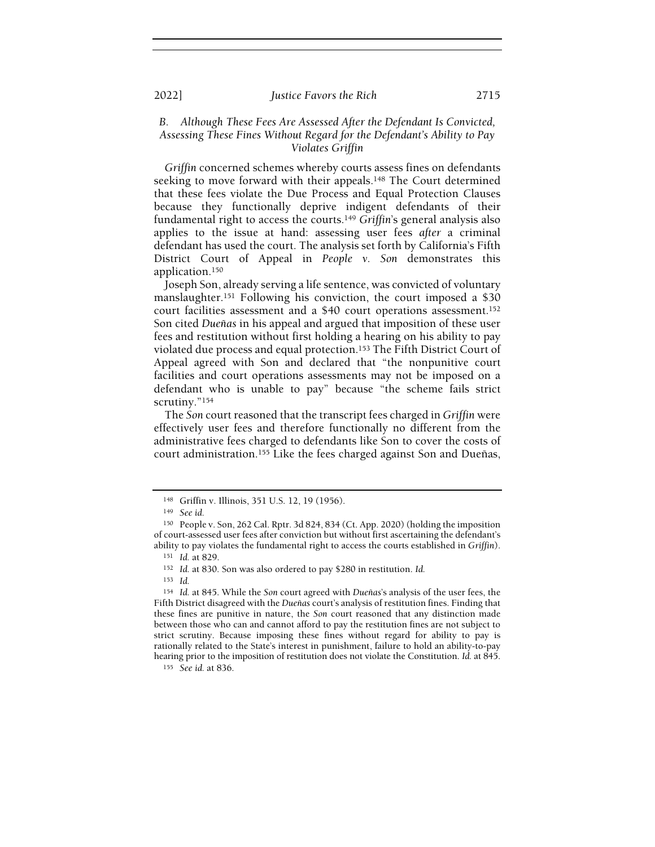## B. Although These Fees Are Assessed After the Defendant Is Convicted, Assessing These Fines Without Regard for the Defendant's Ability to Pay Violates Griffin

Griffin concerned schemes whereby courts assess fines on defendants seeking to move forward with their appeals.<sup>148</sup> The Court determined that these fees violate the Due Process and Equal Protection Clauses because they functionally deprive indigent defendants of their fundamental right to access the courts.<sup>149</sup> Griffin's general analysis also applies to the issue at hand: assessing user fees after a criminal defendant has used the court. The analysis set forth by California's Fifth District Court of Appeal in People v. Son demonstrates this application.<sup>150</sup>

Joseph Son, already serving a life sentence, was convicted of voluntary manslaughter.151 Following his conviction, the court imposed a \$30 court facilities assessment and a \$40 court operations assessment.<sup>152</sup> Son cited Dueñas in his appeal and argued that imposition of these user fees and restitution without first holding a hearing on his ability to pay violated due process and equal protection.153 The Fifth District Court of Appeal agreed with Son and declared that "the nonpunitive court facilities and court operations assessments may not be imposed on a defendant who is unable to pay" because "the scheme fails strict scrutiny."<sup>154</sup>

The Son court reasoned that the transcript fees charged in Griffin were effectively user fees and therefore functionally no different from the administrative fees charged to defendants like Son to cover the costs of court administration.155 Like the fees charged against Son and Dueñas,

<sup>148</sup> Griffin v. Illinois, 351 U.S. 12, 19 (1956).

<sup>149</sup> See id.

<sup>150</sup> People v. Son, 262 Cal. Rptr. 3d 824, 834 (Ct. App. 2020) (holding the imposition of court-assessed user fees after conviction but without first ascertaining the defendant's ability to pay violates the fundamental right to access the courts established in Griffin).

<sup>151</sup> Id. at 829.

<sup>152</sup> Id. at 830. Son was also ordered to pay \$280 in restitution. Id.

<sup>153</sup> Id.

<sup>154</sup> Id. at 845. While the Son court agreed with Dueñas's analysis of the user fees, the Fifth District disagreed with the Dueñas court's analysis of restitution fines. Finding that these fines are punitive in nature, the Son court reasoned that any distinction made between those who can and cannot afford to pay the restitution fines are not subject to strict scrutiny. Because imposing these fines without regard for ability to pay is rationally related to the State's interest in punishment, failure to hold an ability-to-pay hearing prior to the imposition of restitution does not violate the Constitution. Id. at 845.

<sup>155</sup> See id. at 836.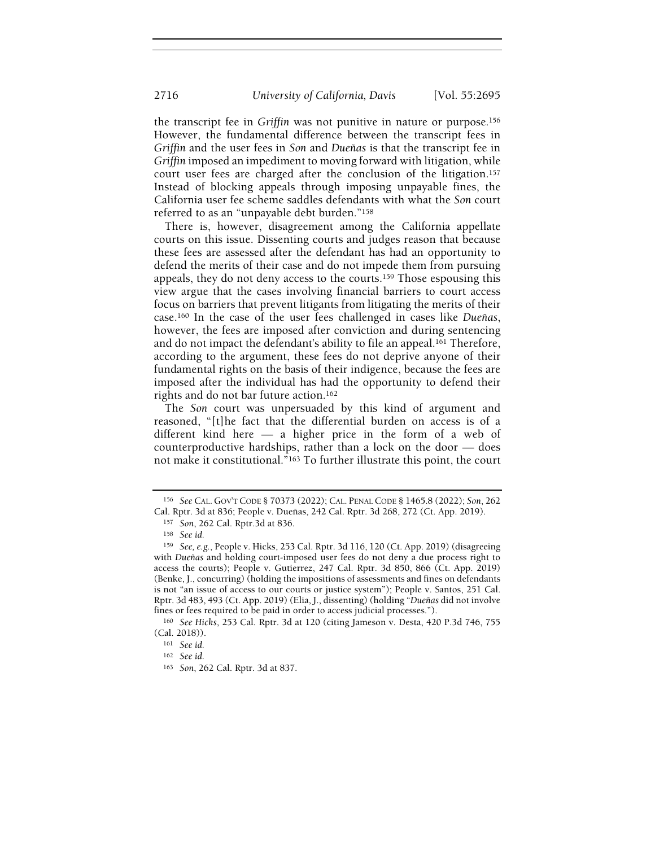the transcript fee in Griffin was not punitive in nature or purpose.<sup>156</sup> However, the fundamental difference between the transcript fees in Griffin and the user fees in Son and Dueñas is that the transcript fee in Griffin imposed an impediment to moving forward with litigation, while court user fees are charged after the conclusion of the litigation.<sup>157</sup> Instead of blocking appeals through imposing unpayable fines, the California user fee scheme saddles defendants with what the Son court referred to as an "unpayable debt burden."<sup>158</sup>

There is, however, disagreement among the California appellate courts on this issue. Dissenting courts and judges reason that because these fees are assessed after the defendant has had an opportunity to defend the merits of their case and do not impede them from pursuing appeals, they do not deny access to the courts.159 Those espousing this view argue that the cases involving financial barriers to court access focus on barriers that prevent litigants from litigating the merits of their case.160 In the case of the user fees challenged in cases like Dueñas, however, the fees are imposed after conviction and during sentencing and do not impact the defendant's ability to file an appeal.161 Therefore, according to the argument, these fees do not deprive anyone of their fundamental rights on the basis of their indigence, because the fees are imposed after the individual has had the opportunity to defend their rights and do not bar future action.<sup>162</sup>

The Son court was unpersuaded by this kind of argument and reasoned, "[t]he fact that the differential burden on access is of a different kind here — a higher price in the form of a web of counterproductive hardships, rather than a lock on the door — does not make it constitutional."163 To further illustrate this point, the court

<sup>156</sup> See CAL. GOV'T CODE § 70373 (2022); CAL. PENAL CODE § 1465.8 (2022); Son, 262 Cal. Rptr. 3d at 836; People v. Dueñas, 242 Cal. Rptr. 3d 268, 272 (Ct. App. 2019).

<sup>157</sup> Son, 262 Cal. Rptr.3d at 836.

<sup>158</sup> See id.

<sup>159</sup> See, e.g., People v. Hicks, 253 Cal. Rptr. 3d 116, 120 (Ct. App. 2019) (disagreeing with Dueñas and holding court-imposed user fees do not deny a due process right to access the courts); People v. Gutierrez, 247 Cal. Rptr. 3d 850, 866 (Ct. App. 2019) (Benke, J., concurring) (holding the impositions of assessments and fines on defendants is not "an issue of access to our courts or justice system"); People v. Santos, 251 Cal. Rptr. 3d 483, 493 (Ct. App. 2019) (Elia, J., dissenting) (holding "Dueñas did not involve fines or fees required to be paid in order to access judicial processes.").

<sup>160</sup> See Hicks, 253 Cal. Rptr. 3d at 120 (citing Jameson v. Desta, 420 P.3d 746, 755 (Cal. 2018)).

<sup>161</sup> See id.

<sup>162</sup> See id.

<sup>163</sup> Son, 262 Cal. Rptr. 3d at 837.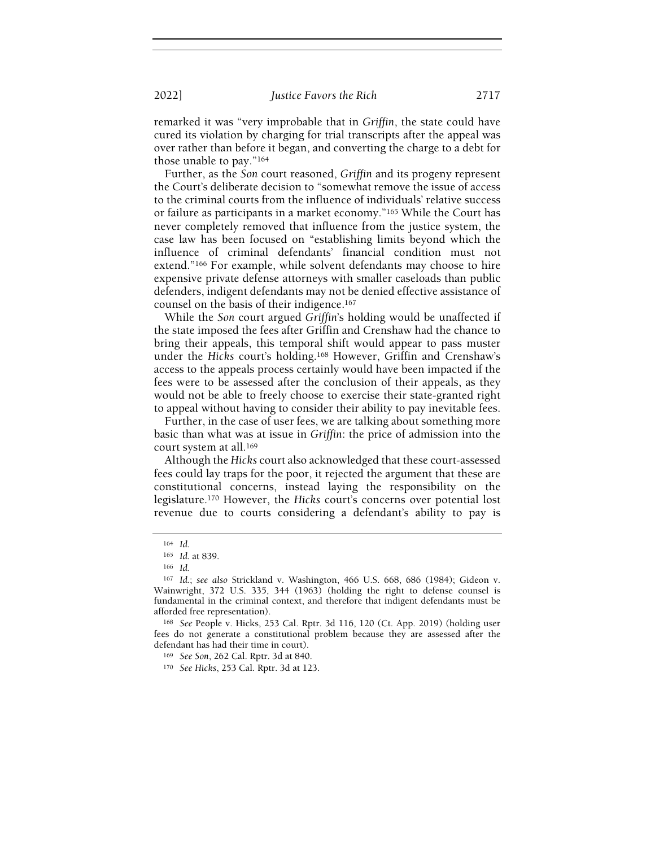remarked it was "very improbable that in Griffin, the state could have cured its violation by charging for trial transcripts after the appeal was over rather than before it began, and converting the charge to a debt for those unable to pay."<sup>164</sup>

Further, as the Son court reasoned, Griffin and its progeny represent the Court's deliberate decision to "somewhat remove the issue of access to the criminal courts from the influence of individuals' relative success or failure as participants in a market economy."165 While the Court has never completely removed that influence from the justice system, the case law has been focused on "establishing limits beyond which the influence of criminal defendants' financial condition must not extend."166 For example, while solvent defendants may choose to hire expensive private defense attorneys with smaller caseloads than public defenders, indigent defendants may not be denied effective assistance of counsel on the basis of their indigence.<sup>167</sup>

While the Son court argued Griffin's holding would be unaffected if the state imposed the fees after Griffin and Crenshaw had the chance to bring their appeals, this temporal shift would appear to pass muster under the Hicks court's holding.168 However, Griffin and Crenshaw's access to the appeals process certainly would have been impacted if the fees were to be assessed after the conclusion of their appeals, as they would not be able to freely choose to exercise their state-granted right to appeal without having to consider their ability to pay inevitable fees.

Further, in the case of user fees, we are talking about something more basic than what was at issue in Griffin: the price of admission into the court system at all.<sup>169</sup>

Although the Hicks court also acknowledged that these court-assessed fees could lay traps for the poor, it rejected the argument that these are constitutional concerns, instead laying the responsibility on the legislature.170 However, the Hicks court's concerns over potential lost revenue due to courts considering a defendant's ability to pay is

<sup>164</sup> Id.

<sup>165</sup> Id. at 839.

<sup>166</sup> Id.

<sup>167</sup> Id.; see also Strickland v. Washington, 466 U.S. 668, 686 (1984); Gideon v. Wainwright, 372 U.S. 335, 344 (1963) (holding the right to defense counsel is fundamental in the criminal context, and therefore that indigent defendants must be afforded free representation).

<sup>168</sup> See People v. Hicks, 253 Cal. Rptr. 3d 116, 120 (Ct. App. 2019) (holding user fees do not generate a constitutional problem because they are assessed after the defendant has had their time in court).

<sup>169</sup> See Son, 262 Cal. Rptr. 3d at 840.

<sup>170</sup> See Hicks, 253 Cal. Rptr. 3d at 123.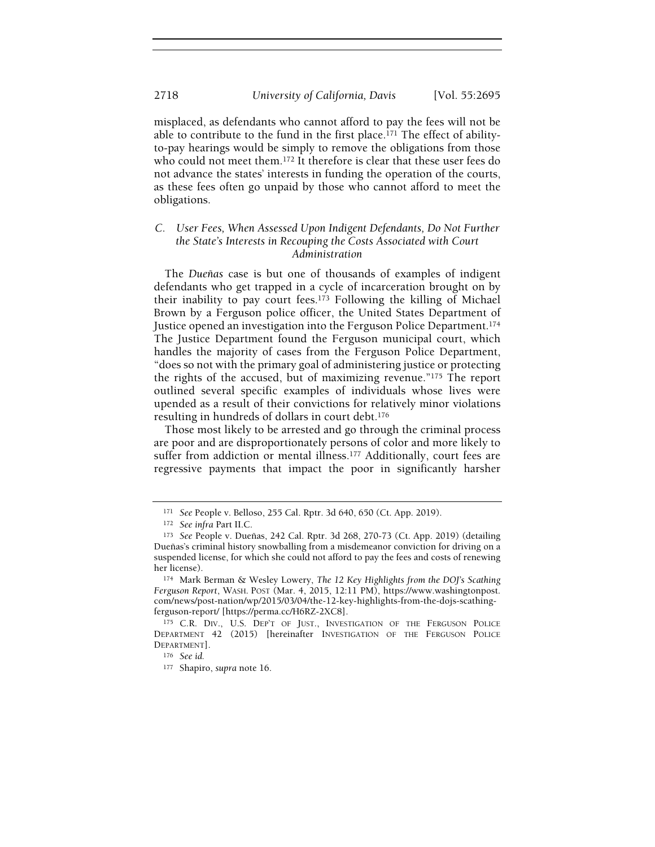misplaced, as defendants who cannot afford to pay the fees will not be able to contribute to the fund in the first place.<sup>171</sup> The effect of abilityto-pay hearings would be simply to remove the obligations from those who could not meet them.172 It therefore is clear that these user fees do not advance the states' interests in funding the operation of the courts, as these fees often go unpaid by those who cannot afford to meet the obligations.

## C. User Fees, When Assessed Upon Indigent Defendants, Do Not Further the State's Interests in Recouping the Costs Associated with Court Administration

The Dueñas case is but one of thousands of examples of indigent defendants who get trapped in a cycle of incarceration brought on by their inability to pay court fees.173 Following the killing of Michael Brown by a Ferguson police officer, the United States Department of Justice opened an investigation into the Ferguson Police Department.<sup>174</sup> The Justice Department found the Ferguson municipal court, which handles the majority of cases from the Ferguson Police Department, "does so not with the primary goal of administering justice or protecting the rights of the accused, but of maximizing revenue."175 The report outlined several specific examples of individuals whose lives were upended as a result of their convictions for relatively minor violations resulting in hundreds of dollars in court debt.<sup>176</sup>

Those most likely to be arrested and go through the criminal process are poor and are disproportionately persons of color and more likely to suffer from addiction or mental illness.<sup>177</sup> Additionally, court fees are regressive payments that impact the poor in significantly harsher

<sup>171</sup> See People v. Belloso, 255 Cal. Rptr. 3d 640, 650 (Ct. App. 2019).

<sup>172</sup> See infra Part II.C.

<sup>173</sup> See People v. Dueñas, 242 Cal. Rptr. 3d 268, 270-73 (Ct. App. 2019) (detailing Dueñas's criminal history snowballing from a misdemeanor conviction for driving on a suspended license, for which she could not afford to pay the fees and costs of renewing her license).

<sup>174</sup> Mark Berman & Wesley Lowery, The 12 Key Highlights from the DOJ's Scathing Ferguson Report, WASH. POST (Mar. 4, 2015, 12:11 PM), https://www.washingtonpost. com/news/post-nation/wp/2015/03/04/the-12-key-highlights-from-the-dojs-scathingferguson-report/ [https://perma.cc/H6RZ-2XC8].

<sup>175</sup> C.R. DIV., U.S. DEP'T OF JUST., INVESTIGATION OF THE FERGUSON POLICE DEPARTMENT 42 (2015) [hereinafter INVESTIGATION OF THE FERGUSON POLICE DEPARTMENT].

<sup>176</sup> See id.

<sup>177</sup> Shapiro, supra note 16.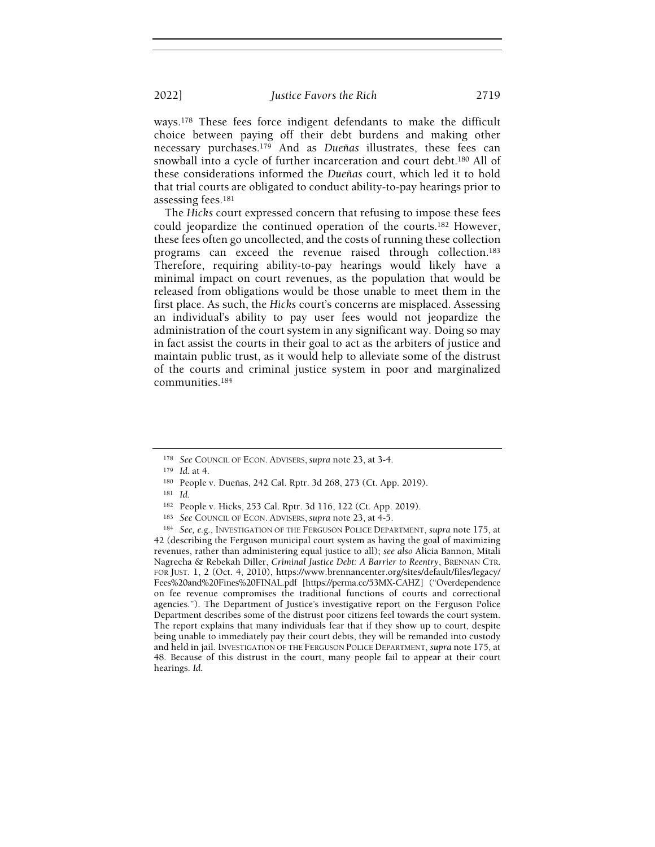ways.178 These fees force indigent defendants to make the difficult choice between paying off their debt burdens and making other necessary purchases.179 And as Dueñas illustrates, these fees can snowball into a cycle of further incarceration and court debt.180 All of these considerations informed the Dueñas court, which led it to hold that trial courts are obligated to conduct ability-to-pay hearings prior to assessing fees.<sup>181</sup>

The Hicks court expressed concern that refusing to impose these fees could jeopardize the continued operation of the courts.182 However, these fees often go uncollected, and the costs of running these collection programs can exceed the revenue raised through collection.<sup>183</sup> Therefore, requiring ability-to-pay hearings would likely have a minimal impact on court revenues, as the population that would be released from obligations would be those unable to meet them in the first place. As such, the Hicks court's concerns are misplaced. Assessing an individual's ability to pay user fees would not jeopardize the administration of the court system in any significant way. Doing so may in fact assist the courts in their goal to act as the arbiters of justice and maintain public trust, as it would help to alleviate some of the distrust of the courts and criminal justice system in poor and marginalized communities.<sup>184</sup>

<sup>178</sup> See COUNCIL OF ECON. ADVISERS, supra note 23, at 3-4.

<sup>179</sup> Id. at 4.

<sup>180</sup> People v. Dueñas, 242 Cal. Rptr. 3d 268, 273 (Ct. App. 2019).

<sup>181</sup> Id.

<sup>182</sup> People v. Hicks, 253 Cal. Rptr. 3d 116, 122 (Ct. App. 2019).

<sup>183</sup> See COUNCIL OF ECON. ADVISERS, supra note 23, at 4-5.

<sup>184</sup> See, e.g., INVESTIGATION OF THE FERGUSON POLICE DEPARTMENT, supra note 175, at 42 (describing the Ferguson municipal court system as having the goal of maximizing revenues, rather than administering equal justice to all); see also Alicia Bannon, Mitali Nagrecha & Rebekah Diller, Criminal Justice Debt: A Barrier to Reentry, BRENNAN CTR. FOR JUST. 1, 2 (Oct. 4, 2010), https://www.brennancenter.org/sites/default/files/legacy/ Fees%20and%20Fines%20FINAL.pdf [https://perma.cc/53MX-CAHZ] ("Overdependence on fee revenue compromises the traditional functions of courts and correctional agencies."). The Department of Justice's investigative report on the Ferguson Police Department describes some of the distrust poor citizens feel towards the court system. The report explains that many individuals fear that if they show up to court, despite being unable to immediately pay their court debts, they will be remanded into custody and held in jail. INVESTIGATION OF THE FERGUSON POLICE DEPARTMENT, supra note 175, at 48. Because of this distrust in the court, many people fail to appear at their court hearings. Id.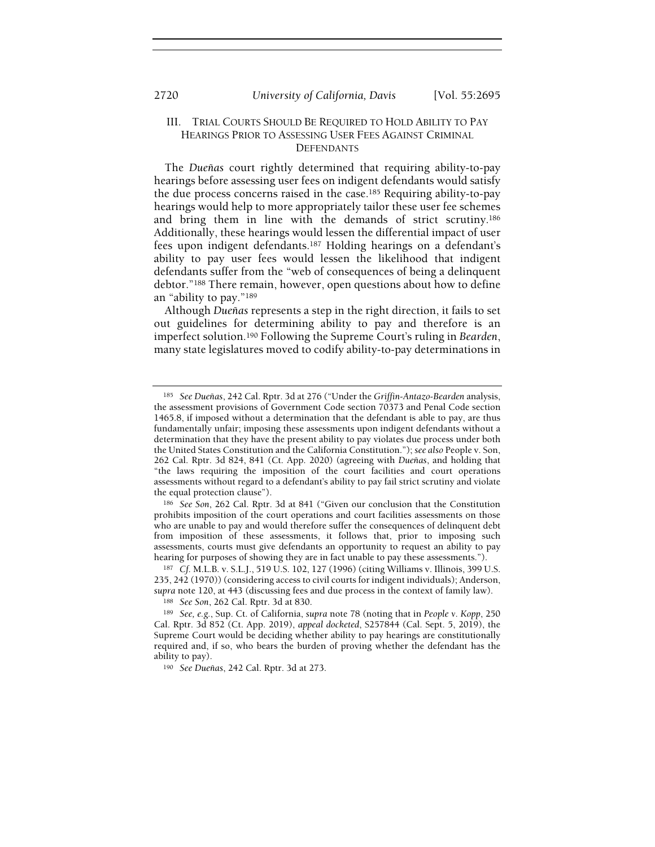## III. TRIAL COURTS SHOULD BE REQUIRED TO HOLD ABILITY TO PAY HEARINGS PRIOR TO ASSESSING USER FEES AGAINST CRIMINAL **DEFENDANTS**

The Dueñas court rightly determined that requiring ability-to-pay hearings before assessing user fees on indigent defendants would satisfy the due process concerns raised in the case.185 Requiring ability-to-pay hearings would help to more appropriately tailor these user fee schemes and bring them in line with the demands of strict scrutiny.<sup>186</sup> Additionally, these hearings would lessen the differential impact of user fees upon indigent defendants.187 Holding hearings on a defendant's ability to pay user fees would lessen the likelihood that indigent defendants suffer from the "web of consequences of being a delinquent debtor."188 There remain, however, open questions about how to define an "ability to pay."<sup>189</sup>

Although Dueñas represents a step in the right direction, it fails to set out guidelines for determining ability to pay and therefore is an imperfect solution.190 Following the Supreme Court's ruling in Bearden, many state legislatures moved to codify ability-to-pay determinations in

<sup>&</sup>lt;sup>185</sup> See Dueñas, 242 Cal. Rptr. 3d at 276 ("Under the Griffin-Antazo-Bearden analysis, the assessment provisions of Government Code section 70373 and Penal Code section 1465.8, if imposed without a determination that the defendant is able to pay, are thus fundamentally unfair; imposing these assessments upon indigent defendants without a determination that they have the present ability to pay violates due process under both the United States Constitution and the California Constitution."); see also People v. Son, 262 Cal. Rptr. 3d 824, 841 (Ct. App. 2020) (agreeing with Dueñas, and holding that "the laws requiring the imposition of the court facilities and court operations assessments without regard to a defendant's ability to pay fail strict scrutiny and violate the equal protection clause").

<sup>186</sup> See Son, 262 Cal. Rptr. 3d at 841 ("Given our conclusion that the Constitution prohibits imposition of the court operations and court facilities assessments on those who are unable to pay and would therefore suffer the consequences of delinquent debt from imposition of these assessments, it follows that, prior to imposing such assessments, courts must give defendants an opportunity to request an ability to pay hearing for purposes of showing they are in fact unable to pay these assessments.").

<sup>187</sup> Cf. M.L.B. v. S.L.J., 519 U.S. 102, 127 (1996) (citing Williams v. Illinois, 399 U.S. 235, 242 (1970)) (considering access to civil courts for indigent individuals); Anderson, supra note 120, at 443 (discussing fees and due process in the context of family law).

<sup>188</sup> See Son, 262 Cal. Rptr. 3d at 830.

<sup>189</sup> See, e.g., Sup. Ct. of California, supra note 78 (noting that in People v. Kopp, 250 Cal. Rptr. 3d 852 (Ct. App. 2019), appeal docketed, S257844 (Cal. Sept. 5, 2019), the Supreme Court would be deciding whether ability to pay hearings are constitutionally required and, if so, who bears the burden of proving whether the defendant has the ability to pay).

<sup>190</sup> See Dueñas, 242 Cal. Rptr. 3d at 273.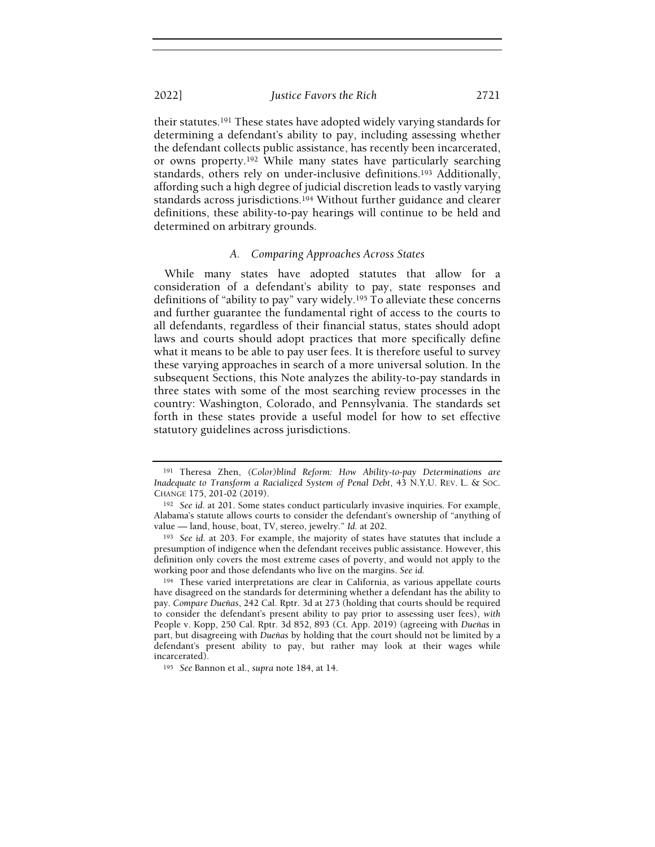their statutes.191 These states have adopted widely varying standards for determining a defendant's ability to pay, including assessing whether the defendant collects public assistance, has recently been incarcerated, or owns property.192 While many states have particularly searching standards, others rely on under-inclusive definitions.193 Additionally, affording such a high degree of judicial discretion leads to vastly varying standards across jurisdictions.194 Without further guidance and clearer definitions, these ability-to-pay hearings will continue to be held and determined on arbitrary grounds.

#### A. Comparing Approaches Across States

While many states have adopted statutes that allow for a consideration of a defendant's ability to pay, state responses and definitions of "ability to pay" vary widely.<sup>195</sup> To alleviate these concerns and further guarantee the fundamental right of access to the courts to all defendants, regardless of their financial status, states should adopt laws and courts should adopt practices that more specifically define what it means to be able to pay user fees. It is therefore useful to survey these varying approaches in search of a more universal solution. In the subsequent Sections, this Note analyzes the ability-to-pay standards in three states with some of the most searching review processes in the country: Washington, Colorado, and Pennsylvania. The standards set forth in these states provide a useful model for how to set effective statutory guidelines across jurisdictions.

<sup>191</sup> Theresa Zhen, (Color)blind Reform: How Ability-to-pay Determinations are Inadequate to Transform a Racialized System of Penal Debt, 43 N.Y.U. REV. L. & SOC. CHANGE 175, 201-02 (2019).

<sup>192</sup> See id. at 201. Some states conduct particularly invasive inquiries. For example, Alabama's statute allows courts to consider the defendant's ownership of "anything of value — land, house, boat, TV, stereo, jewelry." Id. at 202.

<sup>&</sup>lt;sup>193</sup> See id. at 203. For example, the majority of states have statutes that include a presumption of indigence when the defendant receives public assistance. However, this definition only covers the most extreme cases of poverty, and would not apply to the working poor and those defendants who live on the margins. See id.

<sup>&</sup>lt;sup>194</sup> These varied interpretations are clear in California, as various appellate courts have disagreed on the standards for determining whether a defendant has the ability to pay. Compare Dueñas, 242 Cal. Rptr. 3d at 273 (holding that courts should be required to consider the defendant's present ability to pay prior to assessing user fees), with People v. Kopp, 250 Cal. Rptr. 3d 852, 893 (Ct. App. 2019) (agreeing with Dueñas in part, but disagreeing with Dueñas by holding that the court should not be limited by a defendant's present ability to pay, but rather may look at their wages while incarcerated).

<sup>195</sup> See Bannon et al., supra note 184, at 14.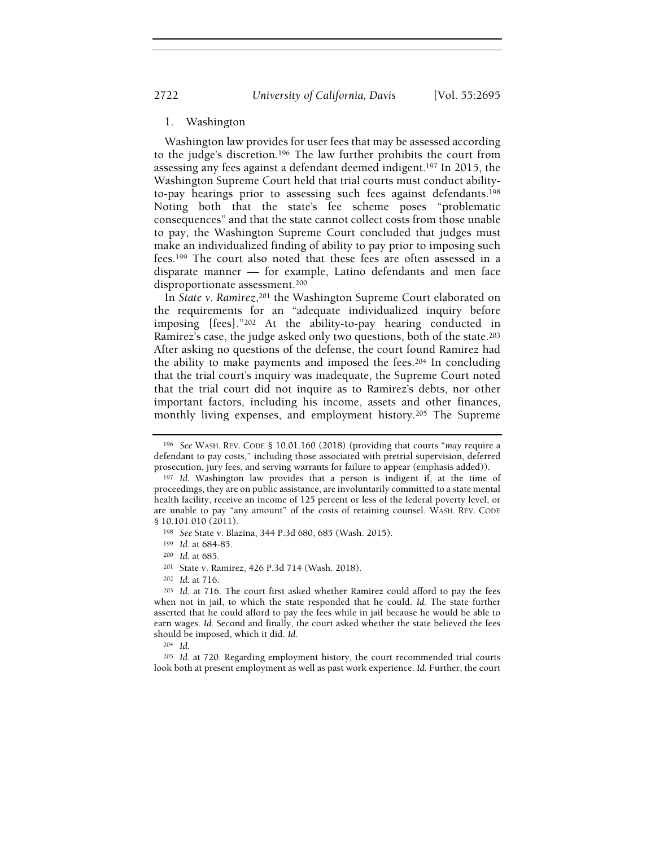2722 University of California, Davis [Vol. 55:2695

## 1. Washington

Washington law provides for user fees that may be assessed according to the judge's discretion.196 The law further prohibits the court from assessing any fees against a defendant deemed indigent.197 In 2015, the Washington Supreme Court held that trial courts must conduct abilityto-pay hearings prior to assessing such fees against defendants.<sup>198</sup> Noting both that the state's fee scheme poses "problematic consequences" and that the state cannot collect costs from those unable to pay, the Washington Supreme Court concluded that judges must make an individualized finding of ability to pay prior to imposing such fees.199 The court also noted that these fees are often assessed in a disparate manner — for example, Latino defendants and men face disproportionate assessment.<sup>200</sup>

In State v. Ramirez,201 the Washington Supreme Court elaborated on the requirements for an "adequate individualized inquiry before imposing [fees]."202 At the ability-to-pay hearing conducted in Ramirez's case, the judge asked only two questions, both of the state.<sup>203</sup> After asking no questions of the defense, the court found Ramirez had the ability to make payments and imposed the fees.204 In concluding that the trial court's inquiry was inadequate, the Supreme Court noted that the trial court did not inquire as to Ramirez's debts, nor other important factors, including his income, assets and other finances, monthly living expenses, and employment history.205 The Supreme

<sup>202</sup> Id. at 716.

<sup>196</sup> See WASH. REV. CODE § 10.01.160 (2018) (providing that courts "may require a defendant to pay costs," including those associated with pretrial supervision, deferred prosecution, jury fees, and serving warrants for failure to appear (emphasis added)).

<sup>197</sup> Id. Washington law provides that a person is indigent if, at the time of proceedings, they are on public assistance, are involuntarily committed to a state mental health facility, receive an income of 125 percent or less of the federal poverty level, or are unable to pay "any amount" of the costs of retaining counsel. WASH. REV. CODE § 10.101.010 (2011).

<sup>198</sup> See State v. Blazina, 344 P.3d 680, 685 (Wash. 2015).

<sup>199</sup> Id. at 684-85.

<sup>200</sup> Id. at 685.

<sup>201</sup> State v. Ramirez, 426 P.3d 714 (Wash. 2018).

<sup>203</sup> Id. at 716. The court first asked whether Ramirez could afford to pay the fees when not in jail, to which the state responded that he could. Id. The state further asserted that he could afford to pay the fees while in jail because he would be able to earn wages. Id. Second and finally, the court asked whether the state believed the fees should be imposed, which it did. Id.

<sup>204</sup> Id.

<sup>205</sup> Id. at 720. Regarding employment history, the court recommended trial courts look both at present employment as well as past work experience. Id. Further, the court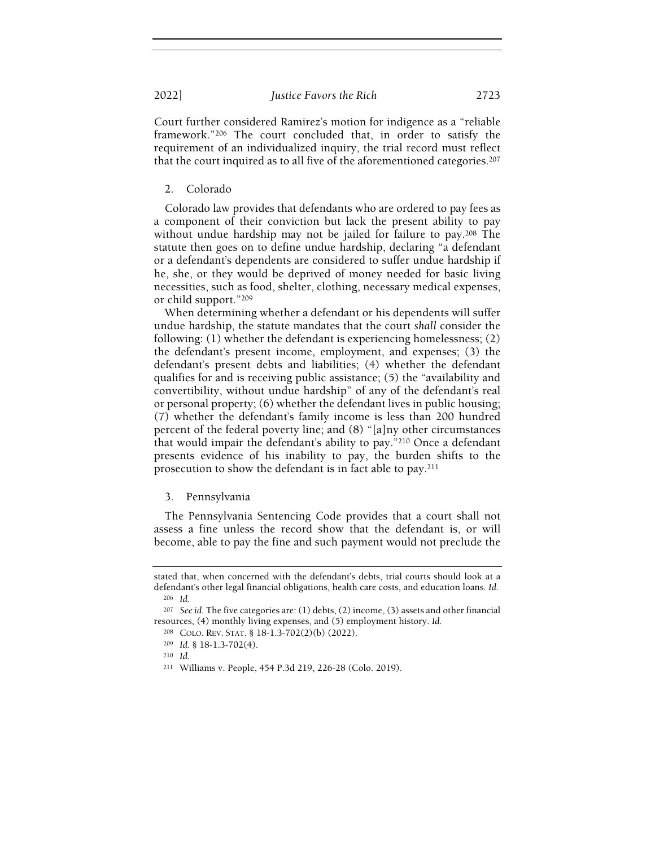Court further considered Ramirez's motion for indigence as a "reliable framework."206 The court concluded that, in order to satisfy the requirement of an individualized inquiry, the trial record must reflect that the court inquired as to all five of the aforementioned categories.<sup>207</sup>

#### 2. Colorado

Colorado law provides that defendants who are ordered to pay fees as a component of their conviction but lack the present ability to pay without undue hardship may not be jailed for failure to pay.208 The statute then goes on to define undue hardship, declaring "a defendant or a defendant's dependents are considered to suffer undue hardship if he, she, or they would be deprived of money needed for basic living necessities, such as food, shelter, clothing, necessary medical expenses, or child support."<sup>209</sup>

When determining whether a defendant or his dependents will suffer undue hardship, the statute mandates that the court shall consider the following: (1) whether the defendant is experiencing homelessness; (2) the defendant's present income, employment, and expenses; (3) the defendant's present debts and liabilities; (4) whether the defendant qualifies for and is receiving public assistance; (5) the "availability and convertibility, without undue hardship" of any of the defendant's real or personal property; (6) whether the defendant lives in public housing; (7) whether the defendant's family income is less than 200 hundred percent of the federal poverty line; and (8) "[a]ny other circumstances that would impair the defendant's ability to pay."210 Once a defendant presents evidence of his inability to pay, the burden shifts to the prosecution to show the defendant is in fact able to pay.<sup>211</sup>

#### 3. Pennsylvania

The Pennsylvania Sentencing Code provides that a court shall not assess a fine unless the record show that the defendant is, or will become, able to pay the fine and such payment would not preclude the

stated that, when concerned with the defendant's debts, trial courts should look at a defendant's other legal financial obligations, health care costs, and education loans. Id. <sup>206</sup> Id.

<sup>&</sup>lt;sup>207</sup> See id. The five categories are: (1) debts, (2) income, (3) assets and other financial resources, (4) monthly living expenses, and (5) employment history. Id.

<sup>208</sup> COLO. REV. STAT. § 18-1.3-702(2)(b) (2022).

<sup>209</sup> Id. § 18-1.3-702(4).

<sup>210</sup> Id.

<sup>211</sup> Williams v. People, 454 P.3d 219, 226-28 (Colo. 2019).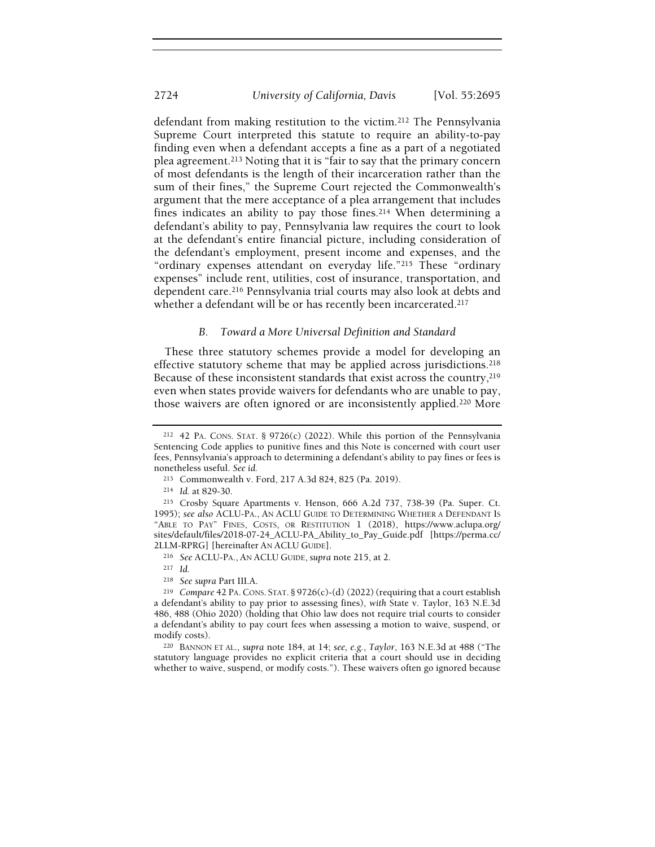defendant from making restitution to the victim.212 The Pennsylvania Supreme Court interpreted this statute to require an ability-to-pay finding even when a defendant accepts a fine as a part of a negotiated plea agreement.213 Noting that it is "fair to say that the primary concern of most defendants is the length of their incarceration rather than the sum of their fines," the Supreme Court rejected the Commonwealth's argument that the mere acceptance of a plea arrangement that includes fines indicates an ability to pay those fines.214 When determining a defendant's ability to pay, Pennsylvania law requires the court to look at the defendant's entire financial picture, including consideration of the defendant's employment, present income and expenses, and the "ordinary expenses attendant on everyday life."215 These "ordinary expenses" include rent, utilities, cost of insurance, transportation, and dependent care.216 Pennsylvania trial courts may also look at debts and whether a defendant will be or has recently been incarcerated.<sup>217</sup>

#### B. Toward a More Universal Definition and Standard

These three statutory schemes provide a model for developing an effective statutory scheme that may be applied across jurisdictions.<sup>218</sup> Because of these inconsistent standards that exist across the country,<sup>219</sup> even when states provide waivers for defendants who are unable to pay, those waivers are often ignored or are inconsistently applied.220 More

<sup>214</sup> Id. at 829-30.

<sup>217</sup> Id.

<sup>220</sup> BANNON ET AL., supra note 184, at 14; see, e.g., Taylor, 163 N.E.3d at 488 ("The statutory language provides no explicit criteria that a court should use in deciding whether to waive, suspend, or modify costs."). These waivers often go ignored because

<sup>212</sup> 42 PA. CONS. STAT. § 9726(c) (2022). While this portion of the Pennsylvania Sentencing Code applies to punitive fines and this Note is concerned with court user fees, Pennsylvania's approach to determining a defendant's ability to pay fines or fees is nonetheless useful. See id.

<sup>213</sup> Commonwealth v. Ford, 217 A.3d 824, 825 (Pa. 2019).

<sup>215</sup> Crosby Square Apartments v. Henson, 666 A.2d 737, 738-39 (Pa. Super. Ct. 1995); see also ACLU-PA., AN ACLU GUIDE TO DETERMINING WHETHER A DEFENDANT IS "ABLE TO PAY" FINES, COSTS, OR RESTITUTION 1 (2018), https://www.aclupa.org/ sites/default/files/2018-07-24\_ACLU-PA\_Ability\_to\_Pay\_Guide.pdf [https://perma.cc/ 2LLM-RPRG] [hereinafter AN ACLU GUIDE].

<sup>216</sup> See ACLU-PA., AN ACLU GUIDE, supra note 215, at 2.

<sup>218</sup> See supra Part III.A.

<sup>&</sup>lt;sup>219</sup> Compare 42 PA. CONS. STAT. § 9726(c)-(d) (2022) (requiring that a court establish a defendant's ability to pay prior to assessing fines), with State v. Taylor, 163 N.E.3d 486, 488 (Ohio 2020) (holding that Ohio law does not require trial courts to consider a defendant's ability to pay court fees when assessing a motion to waive, suspend, or modify costs).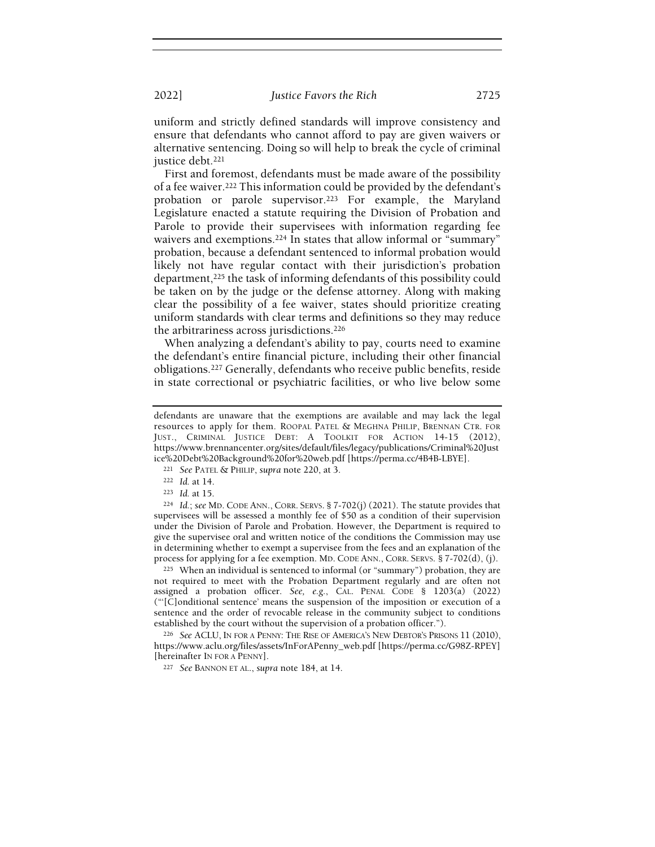uniform and strictly defined standards will improve consistency and ensure that defendants who cannot afford to pay are given waivers or alternative sentencing. Doing so will help to break the cycle of criminal justice debt.<sup>221</sup>

First and foremost, defendants must be made aware of the possibility of a fee waiver.222 This information could be provided by the defendant's probation or parole supervisor.<sup>223</sup> For example, the Maryland Legislature enacted a statute requiring the Division of Probation and Parole to provide their supervisees with information regarding fee waivers and exemptions.<sup>224</sup> In states that allow informal or "summary" probation, because a defendant sentenced to informal probation would likely not have regular contact with their jurisdiction's probation department,225 the task of informing defendants of this possibility could be taken on by the judge or the defense attorney. Along with making clear the possibility of a fee waiver, states should prioritize creating uniform standards with clear terms and definitions so they may reduce the arbitrariness across jurisdictions.<sup>226</sup>

When analyzing a defendant's ability to pay, courts need to examine the defendant's entire financial picture, including their other financial obligations.227 Generally, defendants who receive public benefits, reside in state correctional or psychiatric facilities, or who live below some

<sup>224</sup> Id.; see MD. CODE ANN., CORR. SERVS. § 7-702(j) (2021). The statute provides that supervisees will be assessed a monthly fee of \$50 as a condition of their supervision under the Division of Parole and Probation. However, the Department is required to give the supervisee oral and written notice of the conditions the Commission may use in determining whether to exempt a supervisee from the fees and an explanation of the process for applying for a fee exemption. MD. CODE ANN., CORR. SERVS. § 7-702(d), (j).

<sup>225</sup> When an individual is sentenced to informal (or "summary") probation, they are not required to meet with the Probation Department regularly and are often not assigned a probation officer. See, e.g., CAL. PENAL CODE § 1203(a) (2022) ("'[C]onditional sentence' means the suspension of the imposition or execution of a sentence and the order of revocable release in the community subject to conditions established by the court without the supervision of a probation officer.").

<sup>226</sup> See ACLU, IN FOR A PENNY: THE RISE OF AMERICA'S NEW DEBTOR'S PRISONS 11 (2010), https://www.aclu.org/files/assets/InForAPenny\_web.pdf [https://perma.cc/G98Z-RPEY] [hereinafter IN FOR A PENNY].

<sup>227</sup> See BANNON ET AL., supra note 184, at 14.

defendants are unaware that the exemptions are available and may lack the legal resources to apply for them. ROOPAL PATEL & MEGHNA PHILIP, BRENNAN CTR. FOR JUST., CRIMINAL JUSTICE DEBT: A TOOLKIT FOR ACTION 14-15 (2012), https://www.brennancenter.org/sites/default/files/legacy/publications/Criminal%20Just ice%20Debt%20Background%20for%20web.pdf [https://perma.cc/4B4B-LBYE].

<sup>221</sup> See PATEL & PHILIP, supra note 220, at 3.

<sup>222</sup> Id. at 14.

<sup>223</sup> Id. at 15.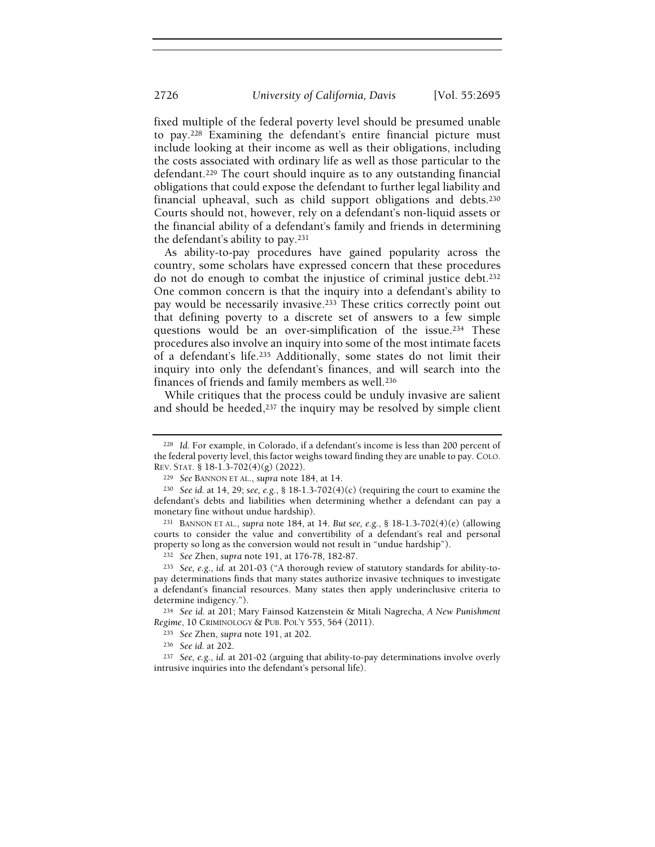fixed multiple of the federal poverty level should be presumed unable to pay.228 Examining the defendant's entire financial picture must include looking at their income as well as their obligations, including the costs associated with ordinary life as well as those particular to the defendant.229 The court should inquire as to any outstanding financial obligations that could expose the defendant to further legal liability and financial upheaval, such as child support obligations and debts.<sup>230</sup> Courts should not, however, rely on a defendant's non-liquid assets or the financial ability of a defendant's family and friends in determining the defendant's ability to pay.<sup>231</sup>

As ability-to-pay procedures have gained popularity across the country, some scholars have expressed concern that these procedures do not do enough to combat the injustice of criminal justice debt.<sup>232</sup> One common concern is that the inquiry into a defendant's ability to pay would be necessarily invasive.<sup>233</sup> These critics correctly point out that defining poverty to a discrete set of answers to a few simple questions would be an over-simplification of the issue.234 These procedures also involve an inquiry into some of the most intimate facets of a defendant's life.235 Additionally, some states do not limit their inquiry into only the defendant's finances, and will search into the finances of friends and family members as well.<sup>236</sup>

While critiques that the process could be unduly invasive are salient and should be heeded, $237$  the inquiry may be resolved by simple client

<sup>231</sup> BANNON ET AL., supra note 184, at 14. But see, e.g., § 18-1.3-702(4)(e) (allowing courts to consider the value and convertibility of a defendant's real and personal property so long as the conversion would not result in "undue hardship").

<sup>228</sup> Id. For example, in Colorado, if a defendant's income is less than 200 percent of the federal poverty level, this factor weighs toward finding they are unable to pay. COLO. REV. STAT. § 18-1.3-702(4)(g) (2022).

<sup>229</sup> See BANNON ET AL., supra note 184, at 14.

<sup>&</sup>lt;sup>230</sup> See id. at 14, 29; see, e.g., § 18-1.3-702(4)(c) (requiring the court to examine the defendant's debts and liabilities when determining whether a defendant can pay a monetary fine without undue hardship).

<sup>232</sup> See Zhen, supra note 191, at 176-78, 182-87.

<sup>233</sup> See, e.g., id. at 201-03 ("A thorough review of statutory standards for ability-topay determinations finds that many states authorize invasive techniques to investigate a defendant's financial resources. Many states then apply underinclusive criteria to determine indigency.").

<sup>234</sup> See id. at 201; Mary Fainsod Katzenstein & Mitali Nagrecha, A New Punishment Regime, 10 CRIMINOLOGY & PUB. POL'Y 555, 564 (2011).

<sup>235</sup> See Zhen, supra note 191, at 202.

<sup>236</sup> See id. at 202.

<sup>&</sup>lt;sup>237</sup> See, e.g., id. at 201-02 (arguing that ability-to-pay determinations involve overly intrusive inquiries into the defendant's personal life).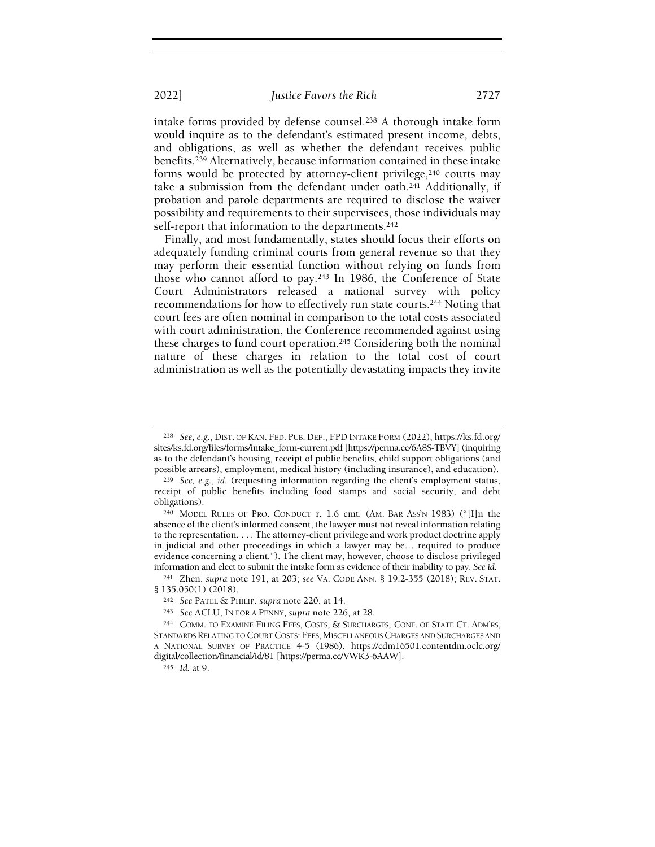intake forms provided by defense counsel.238 A thorough intake form would inquire as to the defendant's estimated present income, debts, and obligations, as well as whether the defendant receives public benefits.239 Alternatively, because information contained in these intake forms would be protected by attorney-client privilege,  $240$  courts may take a submission from the defendant under oath.241 Additionally, if probation and parole departments are required to disclose the waiver possibility and requirements to their supervisees, those individuals may self-report that information to the departments.<sup>242</sup>

Finally, and most fundamentally, states should focus their efforts on adequately funding criminal courts from general revenue so that they may perform their essential function without relying on funds from those who cannot afford to pay.243 In 1986, the Conference of State Court Administrators released a national survey with policy recommendations for how to effectively run state courts.244 Noting that court fees are often nominal in comparison to the total costs associated with court administration, the Conference recommended against using these charges to fund court operation.245 Considering both the nominal nature of these charges in relation to the total cost of court administration as well as the potentially devastating impacts they invite

<sup>238</sup> See, e.g., DIST. OF KAN. FED. PUB. DEF., FPD INTAKE FORM (2022), https://ks.fd.org/ sites/ks.fd.org/files/forms/intake\_form-current.pdf [https://perma.cc/6A8S-TBVY] (inquiring as to the defendant's housing, receipt of public benefits, child support obligations (and possible arrears), employment, medical history (including insurance), and education).

<sup>239</sup> See, e.g., id. (requesting information regarding the client's employment status, receipt of public benefits including food stamps and social security, and debt obligations).

<sup>240</sup> MODEL RULES OF PRO. CONDUCT r. 1.6 cmt. (AM. BAR ASS'N 1983) ("[I]n the absence of the client's informed consent, the lawyer must not reveal information relating to the representation. . . . The attorney-client privilege and work product doctrine apply in judicial and other proceedings in which a lawyer may be… required to produce evidence concerning a client."). The client may, however, choose to disclose privileged information and elect to submit the intake form as evidence of their inability to pay. See id.

<sup>241</sup> Zhen, supra note 191, at 203; see VA. CODE ANN. § 19.2-355 (2018); REV. STAT. § 135.050(1) (2018).

<sup>242</sup> See PATEL & PHILIP, supra note 220, at 14.

<sup>243</sup> See ACLU, IN FOR A PENNY, supra note 226, at 28.

<sup>244</sup> COMM. TO EXAMINE FILING FEES, COSTS, & SURCHARGES, CONF. OF STATE CT. ADM'RS, STANDARDS RELATING TO COURT COSTS: FEES, MISCELLANEOUS CHARGES AND SURCHARGES AND A NATIONAL SURVEY OF PRACTICE 4-5 (1986), https://cdm16501.contentdm.oclc.org/ digital/collection/financial/id/81 [https://perma.cc/VWK3-6AAW].

<sup>245</sup> Id. at 9.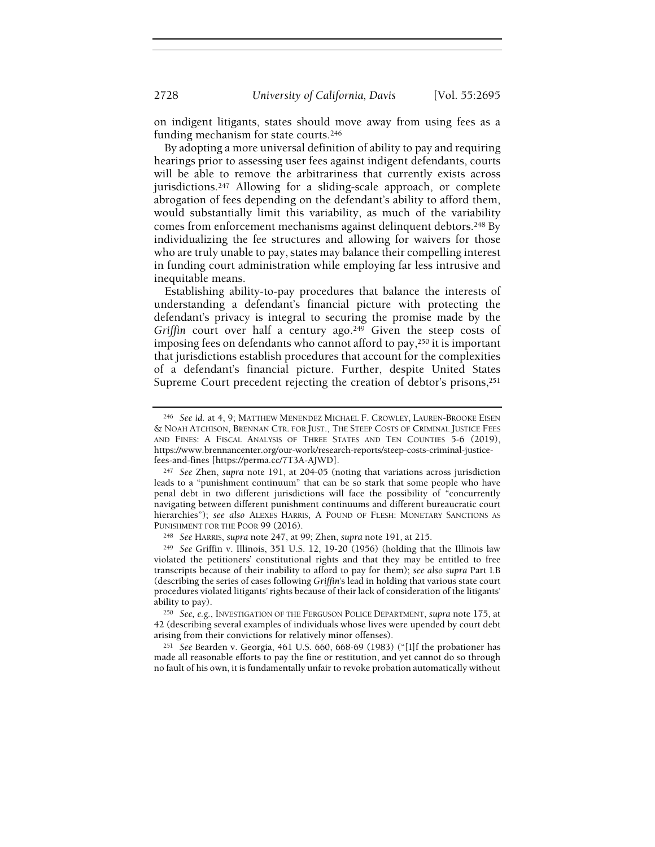on indigent litigants, states should move away from using fees as a funding mechanism for state courts.<sup>246</sup>

By adopting a more universal definition of ability to pay and requiring hearings prior to assessing user fees against indigent defendants, courts will be able to remove the arbitrariness that currently exists across jurisdictions.247 Allowing for a sliding-scale approach, or complete abrogation of fees depending on the defendant's ability to afford them, would substantially limit this variability, as much of the variability comes from enforcement mechanisms against delinquent debtors.248 By individualizing the fee structures and allowing for waivers for those who are truly unable to pay, states may balance their compelling interest in funding court administration while employing far less intrusive and inequitable means.

Establishing ability-to-pay procedures that balance the interests of understanding a defendant's financial picture with protecting the defendant's privacy is integral to securing the promise made by the Griffin court over half a century ago.<sup>249</sup> Given the steep costs of imposing fees on defendants who cannot afford to pay,250 it is important that jurisdictions establish procedures that account for the complexities of a defendant's financial picture. Further, despite United States Supreme Court precedent rejecting the creation of debtor's prisons,<sup>251</sup>

<sup>246</sup> See id. at 4, 9; MATTHEW MENENDEZ MICHAEL F. CROWLEY, LAUREN-BROOKE EISEN & NOAH ATCHISON, BRENNAN CTR. FOR JUST., THE STEEP COSTS OF CRIMINAL JUSTICE FEES AND FINES: A FISCAL ANALYSIS OF THREE STATES AND TEN COUNTIES 5-6 (2019), https://www.brennancenter.org/our-work/research-reports/steep-costs-criminal-justicefees-and-fines [https://perma.cc/7T3A-AJWD].

<sup>247</sup> See Zhen, supra note 191, at 204-05 (noting that variations across jurisdiction leads to a "punishment continuum" that can be so stark that some people who have penal debt in two different jurisdictions will face the possibility of "concurrently navigating between different punishment continuums and different bureaucratic court hierarchies"); see also ALEXES HARRIS, A POUND OF FLESH: MONETARY SANCTIONS AS PUNISHMENT FOR THE POOR 99 (2016).

<sup>248</sup> See HARRIS, supra note 247, at 99; Zhen, supra note 191, at 215.

<sup>249</sup> See Griffin v. Illinois, 351 U.S. 12, 19-20 (1956) (holding that the Illinois law violated the petitioners' constitutional rights and that they may be entitled to free transcripts because of their inability to afford to pay for them); see also supra Part I.B (describing the series of cases following Griffin's lead in holding that various state court procedures violated litigants' rights because of their lack of consideration of the litigants' ability to pay).

<sup>250</sup> See, e.g., INVESTIGATION OF THE FERGUSON POLICE DEPARTMENT, supra note 175, at 42 (describing several examples of individuals whose lives were upended by court debt arising from their convictions for relatively minor offenses).

<sup>251</sup> See Bearden v. Georgia, 461 U.S. 660, 668-69 (1983) ("[I]f the probationer has made all reasonable efforts to pay the fine or restitution, and yet cannot do so through no fault of his own, it is fundamentally unfair to revoke probation automatically without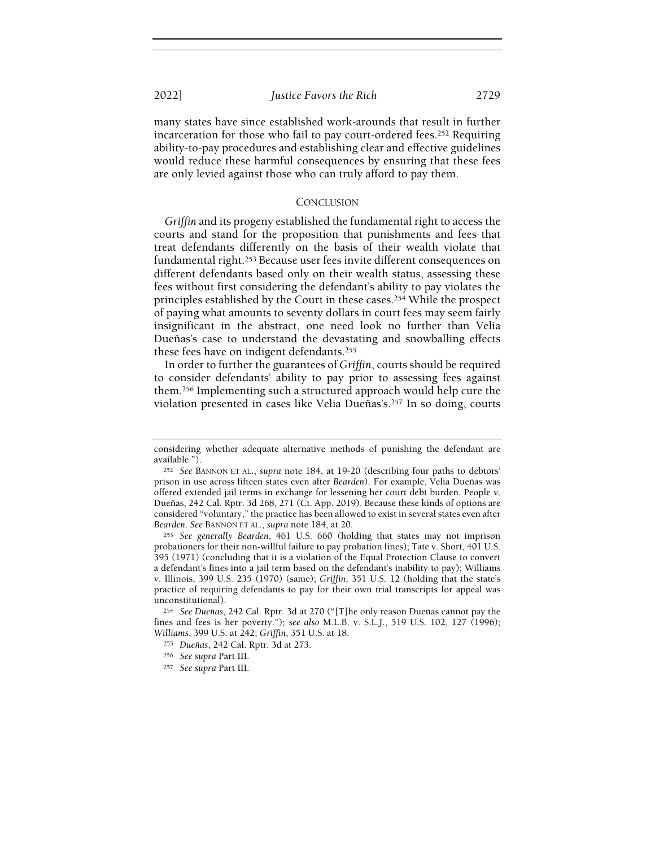many states have since established work-arounds that result in further incarceration for those who fail to pay court-ordered fees.252 Requiring ability-to-pay procedures and establishing clear and effective guidelines would reduce these harmful consequences by ensuring that these fees are only levied against those who can truly afford to pay them.

## **CONCLUSION**

Griffin and its progeny established the fundamental right to access the courts and stand for the proposition that punishments and fees that treat defendants differently on the basis of their wealth violate that fundamental right.253 Because user fees invite different consequences on different defendants based only on their wealth status, assessing these fees without first considering the defendant's ability to pay violates the principles established by the Court in these cases.<sup>254</sup> While the prospect of paying what amounts to seventy dollars in court fees may seem fairly insignificant in the abstract, one need look no further than Velia Dueñas's case to understand the devastating and snowballing effects these fees have on indigent defendants.<sup>255</sup>

In order to further the guarantees of Griffin, courts should be required to consider defendants' ability to pay prior to assessing fees against them.256 Implementing such a structured approach would help cure the violation presented in cases like Velia Dueñas's.257 In so doing, courts

considering whether adequate alternative methods of punishing the defendant are available.").

<sup>252</sup> See BANNON ET AL., supra note 184, at 19-20 (describing four paths to debtors' prison in use across fifteen states even after Bearden). For example, Velia Dueñas was offered extended jail terms in exchange for lessening her court debt burden. People v. Dueñas, 242 Cal. Rptr. 3d 268, 271 (Ct. App. 2019). Because these kinds of options are considered "voluntary," the practice has been allowed to exist in several states even after Bearden. See BANNON ET AL., supra note 184, at 20.

<sup>253</sup> See generally Bearden, 461 U.S. 660 (holding that states may not imprison probationers for their non-willful failure to pay probation fines); Tate v. Short, 401 U.S. 395 (1971) (concluding that it is a violation of the Equal Protection Clause to convert a defendant's fines into a jail term based on the defendant's inability to pay); Williams v. Illinois, 399 U.S. 235 (1970) (same); Griffin, 351 U.S. 12 (holding that the state's practice of requiring defendants to pay for their own trial transcripts for appeal was unconstitutional).

<sup>254</sup> See Dueñas, 242 Cal. Rptr. 3d at 270 ("[T]he only reason Dueñas cannot pay the fines and fees is her poverty."); see also M.L.B. v. S.L.J., 519 U.S. 102, 127 (1996); Williams, 399 U.S. at 242; Griffin, 351 U.S. at 18.

<sup>255</sup> Dueñas, 242 Cal. Rptr. 3d at 273.

<sup>256</sup> See supra Part III.

<sup>257</sup> See supra Part III.